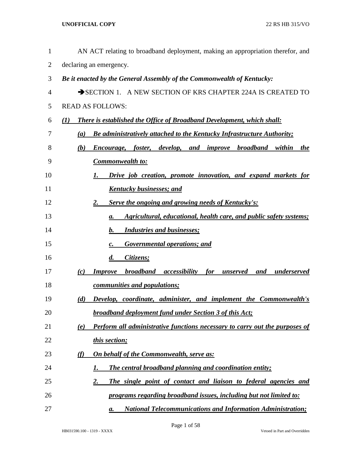| $\mathbf{1}$   | AN ACT relating to broadband deployment, making an appropriation therefor, and                      |
|----------------|-----------------------------------------------------------------------------------------------------|
| $\overline{2}$ | declaring an emergency.                                                                             |
| 3              | Be it enacted by the General Assembly of the Commonwealth of Kentucky:                              |
| 4              | SECTION 1. A NEW SECTION OF KRS CHAPTER 224A IS CREATED TO                                          |
| 5              | <b>READ AS FOLLOWS:</b>                                                                             |
| 6              | <b>There is established the Office of Broadband Development, which shall:</b><br>$\mathcal{L}(I)$   |
| 7              | <b>Be administratively attached to the Kentucky Infrastructure Authority;</b><br>(a)                |
| 8              | foster, develop, and improve broadband<br>(b)<br>within<br>Encourage,<br>the                        |
| 9              | <b>Commonwealth to:</b>                                                                             |
| 10             | Drive job creation, promote innovation, and expand markets for<br>1.                                |
| 11             | <u>Kentucky businesses; and</u>                                                                     |
| 12             | Serve the ongoing and growing needs of Kentucky's:<br>2.                                            |
| 13             | Agricultural, educational, health care, and public safety systems;<br>а.                            |
| 14             | <b>Industries and businesses;</b><br>$\mathbf{b}$ .                                                 |
| 15             | <b>Governmental operations; and</b><br>$\boldsymbol{c}$ .                                           |
| 16             | $\boldsymbol{d}$ .<br>Citizens;                                                                     |
| 17             | <b>broadband</b><br><b>Improve</b><br>accessibility<br>for<br>underserved<br>(c)<br>unserved<br>and |
| 18             | communities and populations;                                                                        |
| 19             | (d)<br><b>Develop, coordinate, administer, and implement the Commonwealth's</b>                     |
| 20             | <b>broadband deployment fund under Section 3 of this Act;</b>                                       |
| 21             | Perform all administrative functions necessary to carry out the purposes of<br>(e)                  |
| 22             | this section;                                                                                       |
| 23             | <b>On behalf of the Commonwealth, serve as:</b><br><u>(f)</u>                                       |
| 24             | <b>The central broadband planning and coordination entity;</b><br>1.                                |
| 25             | $\overline{2}$ .<br>The single point of contact and liaison to federal agencies and                 |
| 26             | programs regarding broadband issues, including but not limited to:                                  |
| 27             | <b>National Telecommunications and Information Administration;</b><br>а.                            |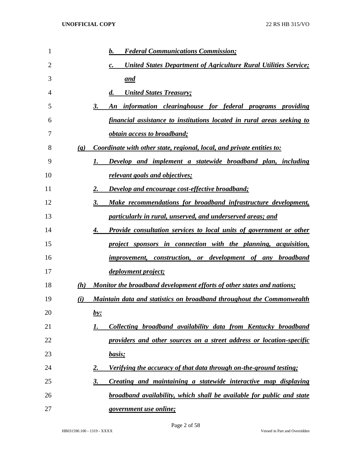| 1  |                             | <b>Federal Communications Commission;</b><br>b.                                            |
|----|-----------------------------|--------------------------------------------------------------------------------------------|
| 2  |                             | <b>United States Department of Agriculture Rural Utilities Service;</b><br>$\mathcal{C}$ . |
| 3  |                             | <u>and</u>                                                                                 |
| 4  |                             | <b>United States Treasury;</b><br>$\boldsymbol{d}$ .                                       |
| 5  |                             | information clearinghouse for federal programs providing<br>3.<br>An                       |
| 6  |                             | financial assistance to institutions located in rural areas seeking to                     |
| 7  |                             | <i><u><b>obtain access to broadband;</b></u></i>                                           |
| 8  | $\left( \mathbf{g} \right)$ | Coordinate with other state, regional, local, and private entities to:                     |
| 9  |                             | Develop and implement a statewide broadband plan, including<br>1.                          |
| 10 |                             | relevant goals and objectives;                                                             |
| 11 |                             | Develop and encourage cost-effective broadband;<br>2.                                      |
| 12 |                             | Make recommendations for broadband infrastructure development,<br>3.                       |
| 13 |                             | particularly in rural, unserved, and underserved areas; and                                |
| 14 |                             | <b>Provide consultation services to local units of government or other</b><br>4.           |
| 15 |                             | project sponsors in connection with the planning, acquisition,                             |
| 16 |                             | improvement, construction, or development of any broadband                                 |
| 17 |                             | <i>deployment project;</i>                                                                 |
| 18 | (h)                         | Monitor the broadband development efforts of other states and nations;                     |
| 19 | (i)                         | Maintain data and statistics on broadband throughout the Commonwealth                      |
| 20 |                             | <u>by:</u>                                                                                 |
| 21 |                             | Collecting broadband availability data from Kentucky broadband<br>1.                       |
| 22 |                             | providers and other sources on a street address or location-specific                       |
| 23 |                             | basis;                                                                                     |
| 24 |                             | Verifying the accuracy of that data through on-the-ground testing;<br>2.                   |
| 25 |                             | Creating and maintaining a statewide interactive map displaying<br>3.                      |
| 26 |                             | broadband availability, which shall be available for public and state                      |
| 27 |                             | <i>government use online;</i>                                                              |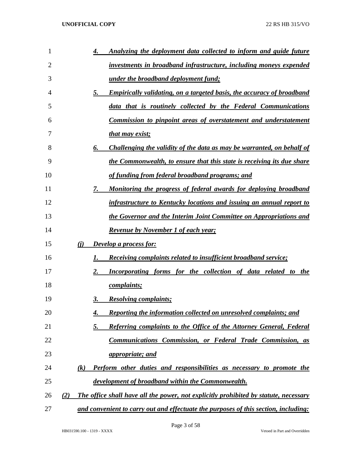| 1  |     |                   | 4.        | Analyzing the deployment data collected to inform and guide future                   |
|----|-----|-------------------|-----------|--------------------------------------------------------------------------------------|
| 2  |     |                   |           | investments in broadband infrastructure, including moneys expended                   |
| 3  |     |                   |           | <u>under the broadband deployment fund;</u>                                          |
| 4  |     |                   | 5.        | <b>Empirically validating, on a targeted basis, the accuracy of broadband</b>        |
| 5  |     |                   |           | data that is routinely collected by the Federal Communications                       |
| 6  |     |                   |           | Commission to pinpoint areas of overstatement and understatement                     |
| 7  |     |                   |           | that may exist;                                                                      |
| 8  |     |                   | 6.        | Challenging the validity of the data as may be warranted, on behalf of               |
| 9  |     |                   |           | the Commonwealth, to ensure that this state is receiving its due share               |
| 10 |     |                   |           | of funding from federal broadband programs; and                                      |
| 11 |     |                   | 7.        | <u>Monitoring the progress of federal awards for deploying broadband</u>             |
| 12 |     |                   |           | infrastructure to Kentucky locations and issuing an annual report to                 |
| 13 |     |                   |           | the Governor and the Interim Joint Committee on Appropriations and                   |
| 14 |     |                   |           | <b>Revenue by November 1 of each year;</b>                                           |
| 15 |     | (i)               |           | <b>Develop a process for:</b>                                                        |
| 16 |     |                   | 1.        | <b>Receiving complaints related to insufficient broadband service;</b>               |
| 17 |     |                   | 2.        | Incorporating forms for the collection of data related to the                        |
| 18 |     |                   |           | <i>complaints;</i>                                                                   |
| 19 |     |                   | 3.        | <b>Resolving complaints;</b>                                                         |
| 20 |     |                   | 4.        | Reporting the information collected on unresolved complaints; and                    |
| 21 |     |                   | <u>5.</u> | Referring complaints to the Office of the Attorney General, Federal                  |
| 22 |     |                   |           | <b>Communications Commission, or Federal Trade Commission, as</b>                    |
| 23 |     |                   |           | <i>appropriate; and</i>                                                              |
| 24 |     | $\left( k\right)$ |           | <b>Perform other duties and responsibilities as necessary to promote the</b>         |
| 25 |     |                   |           | <u>development of broadband within the Commonwealth.</u>                             |
| 26 | (2) |                   |           | The office shall have all the power, not explicitly prohibited by statute, necessary |
| 27 |     |                   |           | and convenient to carry out and effectuate the purposes of this section, including:  |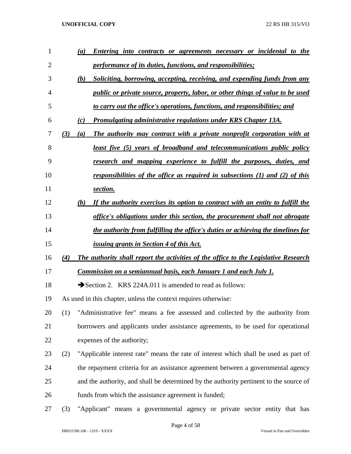| 1              |     | <b>Entering into contracts or agreements necessary or incidental to the</b><br>(a)     |
|----------------|-----|----------------------------------------------------------------------------------------|
| $\overline{2}$ |     | <i>performance of its duties, functions, and responsibilities;</i>                     |
| 3              |     | Soliciting, borrowing, accepting, receiving, and expending funds from any<br>(b)       |
| 4              |     | <i>public or private source, property, labor, or other things of value to be used</i>  |
| 5              |     | to carry out the office's operations, functions, and responsibilities; and             |
| 6              |     | Promulgating administrative regulations under KRS Chapter 13A.<br>(c)                  |
| 7              | (3) | The authority may contract with a private nonprofit corporation with at<br>(a)         |
| 8              |     | <u>least five (5) years of broadband and telecommunications public policy</u>          |
| 9              |     | research and mapping experience to fulfill the purposes, duties, and                   |
| 10             |     | responsibilities of the office as required in subsections $(1)$ and $(2)$ of this      |
| 11             |     | section.                                                                               |
| 12             |     | If the authority exercises its option to contract with an entity to fulfill the<br>(b) |
| 13             |     | office's obligations under this section, the procurement shall not abrogate            |
| 14             |     | the authority from fulfilling the office's duties or achieving the timelines for       |
| 15             |     | <i>issuing grants in Section 4 of this Act.</i>                                        |
| 16             | (4) | The authority shall report the activities of the office to the Legislative Research    |
| 17             |     | Commission on a semiannual basis, each January 1 and each July 1.                      |
| 18             |     | Section 2. KRS 224A.011 is amended to read as follows:                                 |
| 19             |     | As used in this chapter, unless the context requires otherwise:                        |
| 20             | (1) | "Administrative fee" means a fee assessed and collected by the authority from          |
| 21             |     | borrowers and applicants under assistance agreements, to be used for operational       |
| 22             |     | expenses of the authority;                                                             |
| 23             | (2) | "Applicable interest rate" means the rate of interest which shall be used as part of   |
| 24             |     | the repayment criteria for an assistance agreement between a governmental agency       |
| 25             |     | and the authority, and shall be determined by the authority pertinent to the source of |
| 26             |     | funds from which the assistance agreement is funded;                                   |
| 27             | (3) | "Applicant" means a governmental agency or private sector entity that has              |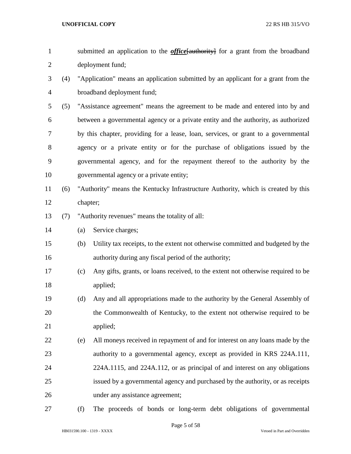| submitted an application to the <i>office</i> [authority] for a grant from the broadband |
|------------------------------------------------------------------------------------------|
| deployment fund;                                                                         |

- (4) "Application" means an application submitted by an applicant for a grant from the broadband deployment fund;
- (5) "Assistance agreement" means the agreement to be made and entered into by and between a governmental agency or a private entity and the authority, as authorized by this chapter, providing for a lease, loan, services, or grant to a governmental agency or a private entity or for the purchase of obligations issued by the governmental agency, and for the repayment thereof to the authority by the governmental agency or a private entity;
- (6) "Authority" means the Kentucky Infrastructure Authority, which is created by this chapter;
- (7) "Authority revenues" means the totality of all:
- (a) Service charges;
- (b) Utility tax receipts, to the extent not otherwise committed and budgeted by the authority during any fiscal period of the authority;
- (c) Any gifts, grants, or loans received, to the extent not otherwise required to be applied;
- (d) Any and all appropriations made to the authority by the General Assembly of the Commonwealth of Kentucky, to the extent not otherwise required to be applied;
- (e) All moneys received in repayment of and for interest on any loans made by the authority to a governmental agency, except as provided in KRS 224A.111, 224A.1115, and 224A.112, or as principal of and interest on any obligations issued by a governmental agency and purchased by the authority, or as receipts under any assistance agreement;
- 

(f) The proceeds of bonds or long-term debt obligations of governmental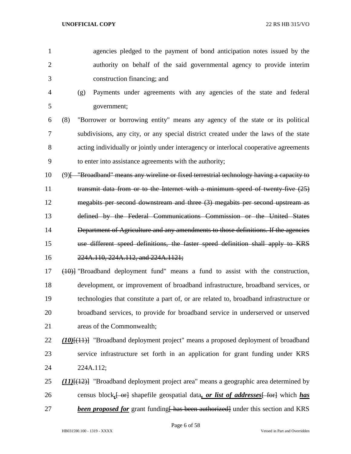- agencies pledged to the payment of bond anticipation notes issued by the authority on behalf of the said governmental agency to provide interim construction financing; and
- (g) Payments under agreements with any agencies of the state and federal government;
- (8) "Borrower or borrowing entity" means any agency of the state or its political subdivisions, any city, or any special district created under the laws of the state acting individually or jointly under interagency or interlocal cooperative agreements to enter into assistance agreements with the authority;
- (9)[ "Broadband" means any wireline or fixed terrestrial technology having a capacity to 11 transmit data from or to the Internet with a minimum speed of twenty-five (25) megabits per second downstream and three (3) megabits per second upstream as defined by the Federal Communications Commission or the United States Department of Agriculture and any amendments to those definitions. If the agencies use different speed definitions, the faster speed definition shall apply to KRS 224A.110, 224A.112, and 224A.1121;
- (10)] "Broadband deployment fund" means a fund to assist with the construction, development, or improvement of broadband infrastructure, broadband services, or technologies that constitute a part of, or are related to, broadband infrastructure or broadband services, to provide for broadband service in underserved or unserved areas of the Commonwealth;
- *(10)*[(11)] "Broadband deployment project" means a proposed deployment of broadband service infrastructure set forth in an application for grant funding under KRS 224A.112;
- *(11)*[(12)] "Broadband deployment project area" means a geographic area determined by 26 census block, <del>[ or]</del> shapefile geospatial data, *or list of addresses* [ for] which *has* **been proposed for** grant funding has been authorized under this section and KRS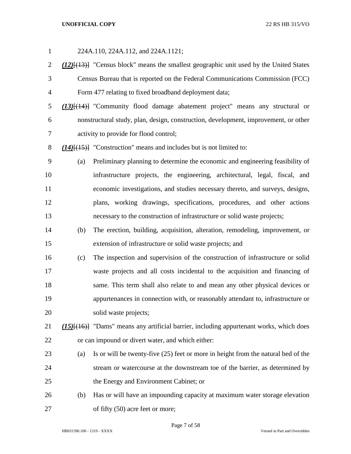| $\mathbf{1}$   |     | 224A.110, 224A.112, and 224A.1121;                                                                  |
|----------------|-----|-----------------------------------------------------------------------------------------------------|
| $\overline{2}$ |     | $(12)$ [ $(13)$ ] "Census block" means the smallest geographic unit used by the United States       |
| 3              |     | Census Bureau that is reported on the Federal Communications Commission (FCC)                       |
| $\overline{4}$ |     | Form 477 relating to fixed broadband deployment data;                                               |
| 5              |     | $(13)$ [ $(14)$ ] "Community flood damage abatement project" means any structural or                |
| 6              |     | nonstructural study, plan, design, construction, development, improvement, or other                 |
| 7              |     | activity to provide for flood control;                                                              |
| 8              |     | $(14)$ [ $(15)$ ] "Construction" means and includes but is not limited to:                          |
| 9              | (a) | Preliminary planning to determine the economic and engineering feasibility of                       |
| 10             |     | infrastructure projects, the engineering, architectural, legal, fiscal, and                         |
| 11             |     | economic investigations, and studies necessary thereto, and surveys, designs,                       |
| 12             |     | plans, working drawings, specifications, procedures, and other actions                              |
| 13             |     | necessary to the construction of infrastructure or solid waste projects;                            |
| 14             | (b) | The erection, building, acquisition, alteration, remodeling, improvement, or                        |
| 15             |     | extension of infrastructure or solid waste projects; and                                            |
| 16             | (c) | The inspection and supervision of the construction of infrastructure or solid                       |
| 17             |     | waste projects and all costs incidental to the acquisition and financing of                         |
| 18             |     | same. This term shall also relate to and mean any other physical devices or                         |
| 19             |     | appurtenances in connection with, or reasonably attendant to, infrastructure or                     |
| 20             |     | solid waste projects;                                                                               |
| 21             |     | (15) <sup>[(16)]</sup> "Dams" means any artificial barrier, including appurtenant works, which does |
| 22             |     | or can impound or divert water, and which either:                                                   |
| 23             | (a) | Is or will be twenty-five (25) feet or more in height from the natural bed of the                   |
| 24             |     | stream or watercourse at the downstream toe of the barrier, as determined by                        |
| 25             |     | the Energy and Environment Cabinet; or                                                              |
| 26             | (b) | Has or will have an impounding capacity at maximum water storage elevation                          |
| 27             |     | of fifty (50) acre feet or more;                                                                    |

Page 7 of 58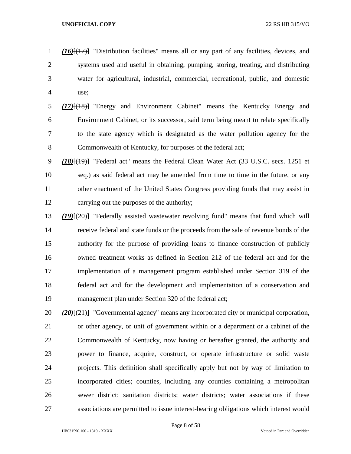- *(16)*[(17)] "Distribution facilities" means all or any part of any facilities, devices, and systems used and useful in obtaining, pumping, storing, treating, and distributing water for agricultural, industrial, commercial, recreational, public, and domestic use;
- *(17)*[(18)] "Energy and Environment Cabinet" means the Kentucky Energy and Environment Cabinet, or its successor, said term being meant to relate specifically to the state agency which is designated as the water pollution agency for the 8 Commonwealth of Kentucky, for purposes of the federal act;
- *(18)*[(19)] "Federal act" means the Federal Clean Water Act (33 U.S.C. secs. 1251 et seq.) as said federal act may be amended from time to time in the future, or any other enactment of the United States Congress providing funds that may assist in carrying out the purposes of the authority;
- *(19)*[(20)] "Federally assisted wastewater revolving fund" means that fund which will receive federal and state funds or the proceeds from the sale of revenue bonds of the authority for the purpose of providing loans to finance construction of publicly owned treatment works as defined in Section 212 of the federal act and for the implementation of a management program established under Section 319 of the federal act and for the development and implementation of a conservation and management plan under Section 320 of the federal act;
- *(20)*[(21)] "Governmental agency" means any incorporated city or municipal corporation, or other agency, or unit of government within or a department or a cabinet of the Commonwealth of Kentucky, now having or hereafter granted, the authority and power to finance, acquire, construct, or operate infrastructure or solid waste projects. This definition shall specifically apply but not by way of limitation to incorporated cities; counties, including any counties containing a metropolitan sewer district; sanitation districts; water districts; water associations if these associations are permitted to issue interest-bearing obligations which interest would

Page 8 of 58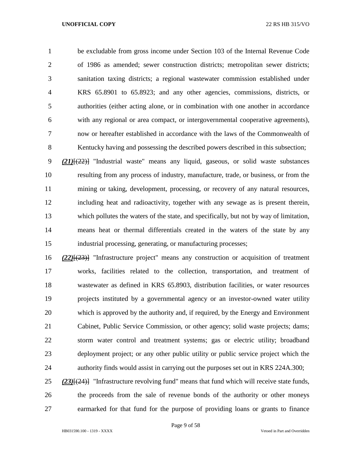be excludable from gross income under Section 103 of the Internal Revenue Code of 1986 as amended; sewer construction districts; metropolitan sewer districts; sanitation taxing districts; a regional wastewater commission established under KRS 65.8901 to 65.8923; and any other agencies, commissions, districts, or authorities (either acting alone, or in combination with one another in accordance with any regional or area compact, or intergovernmental cooperative agreements), now or hereafter established in accordance with the laws of the Commonwealth of Kentucky having and possessing the described powers described in this subsection;

 *(21)*[(22)] "Industrial waste" means any liquid, gaseous, or solid waste substances resulting from any process of industry, manufacture, trade, or business, or from the mining or taking, development, processing, or recovery of any natural resources, including heat and radioactivity, together with any sewage as is present therein, which pollutes the waters of the state, and specifically, but not by way of limitation, means heat or thermal differentials created in the waters of the state by any industrial processing, generating, or manufacturing processes;

 *(22)*[(23)] "Infrastructure project" means any construction or acquisition of treatment works, facilities related to the collection, transportation, and treatment of wastewater as defined in KRS 65.8903, distribution facilities, or water resources projects instituted by a governmental agency or an investor-owned water utility which is approved by the authority and, if required, by the Energy and Environment Cabinet, Public Service Commission, or other agency; solid waste projects; dams; storm water control and treatment systems; gas or electric utility; broadband deployment project; or any other public utility or public service project which the authority finds would assist in carrying out the purposes set out in KRS 224A.300;

 *(23)*[(24)] "Infrastructure revolving fund" means that fund which will receive state funds, the proceeds from the sale of revenue bonds of the authority or other moneys earmarked for that fund for the purpose of providing loans or grants to finance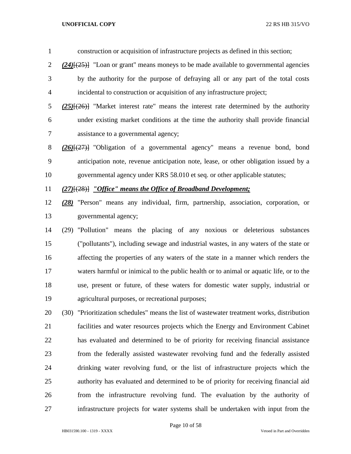construction or acquisition of infrastructure projects as defined in this section; *(24)*[(25)] "Loan or grant" means moneys to be made available to governmental agencies by the authority for the purpose of defraying all or any part of the total costs incidental to construction or acquisition of any infrastructure project; *(25)*[(26)] "Market interest rate" means the interest rate determined by the authority under existing market conditions at the time the authority shall provide financial assistance to a governmental agency; *(26)*[(27)] "Obligation of a governmental agency" means a revenue bond, bond anticipation note, revenue anticipation note, lease, or other obligation issued by a governmental agency under KRS 58.010 et seq. or other applicable statutes; *(27)*[(28)] *"Office" means the Office of Broadband Development;*

 *(28)* "Person" means any individual, firm, partnership, association, corporation, or governmental agency;

 (29) "Pollution" means the placing of any noxious or deleterious substances ("pollutants"), including sewage and industrial wastes, in any waters of the state or affecting the properties of any waters of the state in a manner which renders the waters harmful or inimical to the public health or to animal or aquatic life, or to the use, present or future, of these waters for domestic water supply, industrial or agricultural purposes, or recreational purposes;

 (30) "Prioritization schedules" means the list of wastewater treatment works, distribution facilities and water resources projects which the Energy and Environment Cabinet has evaluated and determined to be of priority for receiving financial assistance from the federally assisted wastewater revolving fund and the federally assisted drinking water revolving fund, or the list of infrastructure projects which the authority has evaluated and determined to be of priority for receiving financial aid from the infrastructure revolving fund. The evaluation by the authority of infrastructure projects for water systems shall be undertaken with input from the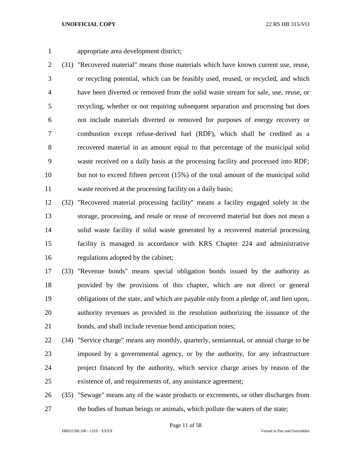appropriate area development district;

 (31) "Recovered material" means those materials which have known current use, reuse, or recycling potential, which can be feasibly used, reused, or recycled, and which have been diverted or removed from the solid waste stream for sale, use, reuse, or recycling, whether or not requiring subsequent separation and processing but does not include materials diverted or removed for purposes of energy recovery or combustion except refuse-derived fuel (RDF), which shall be credited as a recovered material in an amount equal to that percentage of the municipal solid waste received on a daily basis at the processing facility and processed into RDF; but not to exceed fifteen percent (15%) of the total amount of the municipal solid waste received at the processing facility on a daily basis;

 (32) "Recovered material processing facility" means a facility engaged solely in the storage, processing, and resale or reuse of recovered material but does not mean a solid waste facility if solid waste generated by a recovered material processing facility is managed in accordance with KRS Chapter 224 and administrative regulations adopted by the cabinet;

 (33) "Revenue bonds" means special obligation bonds issued by the authority as provided by the provisions of this chapter, which are not direct or general obligations of the state, and which are payable only from a pledge of, and lien upon, authority revenues as provided in the resolution authorizing the issuance of the bonds, and shall include revenue bond anticipation notes;

- (34) "Service charge" means any monthly, quarterly, semiannual, or annual charge to be imposed by a governmental agency, or by the authority, for any infrastructure project financed by the authority, which service charge arises by reason of the existence of, and requirements of, any assistance agreement;
- (35) "Sewage" means any of the waste products or excrements, or other discharges from the bodies of human beings or animals, which pollute the waters of the state;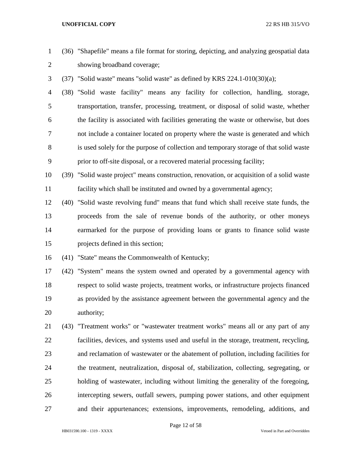- (36) "Shapefile" means a file format for storing, depicting, and analyzing geospatial data showing broadband coverage;
- (37) "Solid waste" means "solid waste" as defined by KRS 224.1-010(30)(a);

 (38) "Solid waste facility" means any facility for collection, handling, storage, transportation, transfer, processing, treatment, or disposal of solid waste, whether the facility is associated with facilities generating the waste or otherwise, but does not include a container located on property where the waste is generated and which is used solely for the purpose of collection and temporary storage of that solid waste prior to off-site disposal, or a recovered material processing facility;

 (39) "Solid waste project" means construction, renovation, or acquisition of a solid waste facility which shall be instituted and owned by a governmental agency;

 (40) "Solid waste revolving fund" means that fund which shall receive state funds, the proceeds from the sale of revenue bonds of the authority, or other moneys earmarked for the purpose of providing loans or grants to finance solid waste projects defined in this section;

(41) "State" means the Commonwealth of Kentucky;

 (42) "System" means the system owned and operated by a governmental agency with respect to solid waste projects, treatment works, or infrastructure projects financed as provided by the assistance agreement between the governmental agency and the authority;

 (43) "Treatment works" or "wastewater treatment works" means all or any part of any facilities, devices, and systems used and useful in the storage, treatment, recycling, and reclamation of wastewater or the abatement of pollution, including facilities for the treatment, neutralization, disposal of, stabilization, collecting, segregating, or holding of wastewater, including without limiting the generality of the foregoing, intercepting sewers, outfall sewers, pumping power stations, and other equipment and their appurtenances; extensions, improvements, remodeling, additions, and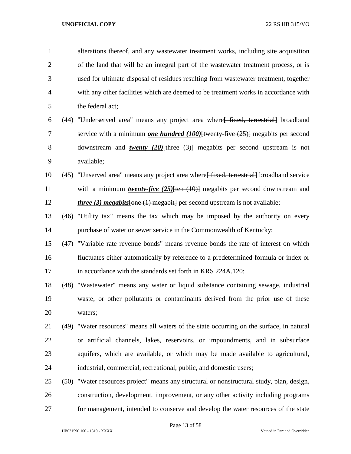| $\mathbf{1}$   |      | alterations thereof, and any wastewater treatment works, including site acquisition         |
|----------------|------|---------------------------------------------------------------------------------------------|
| $\overline{2}$ |      | of the land that will be an integral part of the wastewater treatment process, or is        |
| 3              |      | used for ultimate disposal of residues resulting from wastewater treatment, together        |
| $\overline{4}$ |      | with any other facilities which are deemed to be treatment works in accordance with         |
| 5              |      | the federal act;                                                                            |
| 6              |      | (44) "Underserved area" means any project area where [fixed, terrestrial] broadband         |
| 7              |      | service with a minimum <i>one hundred</i> $(100)$ [twenty five $(25)$ ] megabits per second |
| 8              |      | downstream and <b>twenty</b> (20) $[there (3)]$ megabits per second upstream is not         |
| 9              |      | available;                                                                                  |
| 10             |      | (45) "Unserved area" means any project area where fixed, terrestriall broadband service     |
| 11             |      | with a minimum <i>twenty-five</i> $(25)$ [ten $(10)$ ] megabits per second downstream and   |
| 12             |      | <i>three</i> (3) <i>megabits</i> [one $(1)$ megabit] per second upstream is not available;  |
| 13             |      | (46) "Utility tax" means the tax which may be imposed by the authority on every             |
| 14             |      | purchase of water or sewer service in the Commonwealth of Kentucky;                         |
| 15             |      | (47) "Variable rate revenue bonds" means revenue bonds the rate of interest on which        |
| 16             |      | fluctuates either automatically by reference to a predetermined formula or index or         |
| 17             |      | in accordance with the standards set forth in KRS 224A.120;                                 |
| 18             |      | (48) "Wastewater" means any water or liquid substance containing sewage, industrial         |
| 19             |      | waste, or other pollutants or contaminants derived from the prior use of these              |
| 20             |      | waters;                                                                                     |
| 21             |      | (49) "Water resources" means all waters of the state occurring on the surface, in natural   |
| 22             |      | or artificial channels, lakes, reservoirs, or impoundments, and in subsurface               |
| 23             |      | aquifers, which are available, or which may be made available to agricultural,              |
| 24             |      | industrial, commercial, recreational, public, and domestic users;                           |
| 25             | (50) | "Water resources project" means any structural or nonstructural study, plan, design,        |
| 26             |      | construction, development, improvement, or any other activity including programs            |
| 27             |      | for management, intended to conserve and develop the water resources of the state           |

Page 13 of 58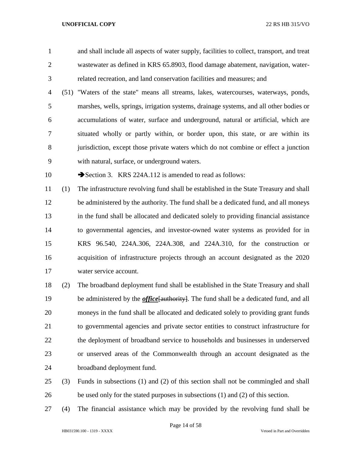and shall include all aspects of water supply, facilities to collect, transport, and treat wastewater as defined in KRS 65.8903, flood damage abatement, navigation, water-related recreation, and land conservation facilities and measures; and

 (51) "Waters of the state" means all streams, lakes, watercourses, waterways, ponds, marshes, wells, springs, irrigation systems, drainage systems, and all other bodies or accumulations of water, surface and underground, natural or artificial, which are situated wholly or partly within, or border upon, this state, or are within its jurisdiction, except those private waters which do not combine or effect a junction with natural, surface, or underground waters.

10 Section 3. KRS 224A.112 is amended to read as follows:

 (1) The infrastructure revolving fund shall be established in the State Treasury and shall be administered by the authority. The fund shall be a dedicated fund, and all moneys in the fund shall be allocated and dedicated solely to providing financial assistance to governmental agencies, and investor-owned water systems as provided for in KRS 96.540, 224A.306, 224A.308, and 224A.310, for the construction or acquisition of infrastructure projects through an account designated as the 2020 water service account.

- (2) The broadband deployment fund shall be established in the State Treasury and shall 19 be administered by the *office* [authority]. The fund shall be a dedicated fund, and all moneys in the fund shall be allocated and dedicated solely to providing grant funds to governmental agencies and private sector entities to construct infrastructure for the deployment of broadband service to households and businesses in underserved or unserved areas of the Commonwealth through an account designated as the broadband deployment fund.
- (3) Funds in subsections (1) and (2) of this section shall not be commingled and shall be used only for the stated purposes in subsections (1) and (2) of this section.
- (4) The financial assistance which may be provided by the revolving fund shall be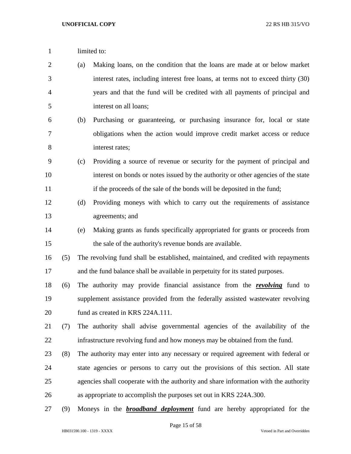1 limited to: (a) Making loans, on the condition that the loans are made at or below market interest rates, including interest free loans, at terms not to exceed thirty (30) years and that the fund will be credited with all payments of principal and interest on all loans; (b) Purchasing or guaranteeing, or purchasing insurance for, local or state obligations when the action would improve credit market access or reduce interest rates; (c) Providing a source of revenue or security for the payment of principal and interest on bonds or notes issued by the authority or other agencies of the state 11 if the proceeds of the sale of the bonds will be deposited in the fund; (d) Providing moneys with which to carry out the requirements of assistance agreements; and (e) Making grants as funds specifically appropriated for grants or proceeds from the sale of the authority's revenue bonds are available. (5) The revolving fund shall be established, maintained, and credited with repayments and the fund balance shall be available in perpetuity for its stated purposes. (6) The authority may provide financial assistance from the *revolving* fund to supplement assistance provided from the federally assisted wastewater revolving 20 fund as created in KRS 224A.111. (7) The authority shall advise governmental agencies of the availability of the infrastructure revolving fund and how moneys may be obtained from the fund. (8) The authority may enter into any necessary or required agreement with federal or state agencies or persons to carry out the provisions of this section. All state agencies shall cooperate with the authority and share information with the authority as appropriate to accomplish the purposes set out in KRS 224A.300. (9) Moneys in the *broadband deployment* fund are hereby appropriated for the

Page 15 of 58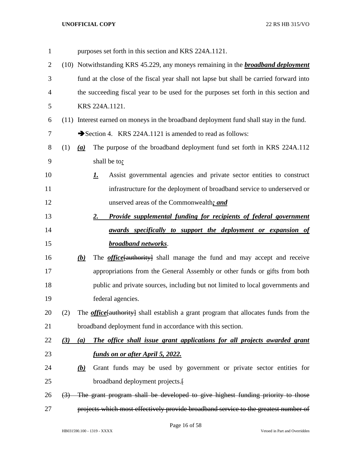| $\mathbf{1}$ |                  |     | purposes set forth in this section and KRS 224A.1121.                                       |
|--------------|------------------|-----|---------------------------------------------------------------------------------------------|
| 2            |                  |     | (10) Notwithstanding KRS 45.229, any moneys remaining in the <b>broadband deployment</b>    |
| 3            |                  |     | fund at the close of the fiscal year shall not lapse but shall be carried forward into      |
| 4            |                  |     | the succeeding fiscal year to be used for the purposes set forth in this section and        |
| 5            |                  |     | KRS 224A.1121.                                                                              |
| 6            |                  |     | (11) Interest earned on moneys in the broadband deployment fund shall stay in the fund.     |
| 7            |                  |     | Section 4. KRS 224A.1121 is amended to read as follows:                                     |
| 8            | (1)              | (a) | The purpose of the broadband deployment fund set forth in KRS 224A.112                      |
| 9            |                  |     | shall be to:                                                                                |
| 10           |                  |     | Assist governmental agencies and private sector entities to construct<br><u>I.</u>          |
| 11           |                  |     | infrastructure for the deployment of broadband service to underserved or                    |
| 12           |                  |     | unserved areas of the Commonwealth; and                                                     |
| 13           |                  |     | Provide supplemental funding for recipients of federal government<br>2.                     |
| 14           |                  |     | <u>awards specifically to support the deployment or expansion of</u>                        |
| 15           |                  |     | broadband networks.                                                                         |
| 16           |                  | (b) | The <b><i>office</i></b> [authority] shall manage the fund and may accept and receive       |
| 17           |                  |     | appropriations from the General Assembly or other funds or gifts from both                  |
| 18           |                  |     | public and private sources, including but not limited to local governments and              |
| 19           |                  |     | federal agencies.                                                                           |
| 20           | (2)              |     | The <i>office</i> [authority] shall establish a grant program that allocates funds from the |
| 21           |                  |     | broadband deployment fund in accordance with this section.                                  |
| 22           | (3)              | (a) | The office shall issue grant applications for all projects awarded grant                    |
| 23           |                  |     | <u>funds on or after April 5, 2022.</u>                                                     |
| 24           |                  | (b) | Grant funds may be used by government or private sector entities for                        |
| 25           |                  |     | broadband deployment projects.                                                              |
| 26           | $\left(3\right)$ |     | The grant program shall be developed to give highest funding priority to those              |
| 27           |                  |     | projects which most effectively provide broadband service to the greatest number of         |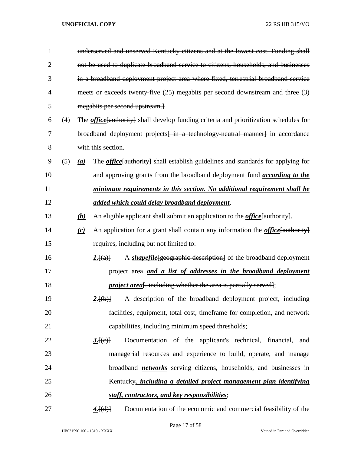| $\mathbf{1}$   |     |                  | underserved and unserved Kentucky citizens and at the lowest cost. Funding shall              |
|----------------|-----|------------------|-----------------------------------------------------------------------------------------------|
| $\overline{2}$ |     |                  | not be used to duplicate broadband service to citizens, households, and businesses            |
| 3              |     |                  | in a broadband deployment project area where fixed, terrestrial broadband service             |
| 4              |     |                  | meets or exceeds twenty five (25) megabits per second downstream and three (3)                |
| 5              |     |                  | megabits per second upstream.                                                                 |
| 6              | (4) |                  | The <i>office</i> [authority] shall develop funding criteria and prioritization schedules for |
| 7              |     |                  | broadband deployment projects in a technology neutral manner] in accordance                   |
| 8              |     |                  | with this section.                                                                            |
| 9              | (5) | $\left(a\right)$ | The <i>office</i> {authority} shall establish guidelines and standards for applying for       |
| 10             |     |                  | and approving grants from the broadband deployment fund <i>according to the</i>               |
| 11             |     |                  | minimum requirements in this section. No additional requirement shall be                      |
| 12             |     |                  | added which could delay broadband deployment.                                                 |
| 13             |     | (b)              | An eligible applicant shall submit an application to the <i>office</i> [authority].           |
| 14             |     | (c)              | An application for a grant shall contain any information the <i>office</i> [authority]        |
| 15             |     |                  | requires, including but not limited to:                                                       |
| 16             |     |                  | A <i>shapefile</i> [geographic description] of the broadband deployment<br>L[(a)]             |
| 17             |     |                  | project area <i>and a list of addresses in the broadband deployment</i>                       |
| 18             |     |                  | <i>project area</i> <sup>[</sup> , including whether the area is partially served];           |
| 19             |     |                  | A description of the broadband deployment project, including<br>2.[(b)]                       |
| 20             |     |                  | facilities, equipment, total cost, timeframe for completion, and network                      |
| 21             |     |                  | capabilities, including minimum speed thresholds;                                             |
| 22             |     |                  | Documentation of the applicant's technical, financial,<br>3.[(e)]<br>and                      |
| 23             |     |                  | managerial resources and experience to build, operate, and manage                             |
| 24             |     |                  | broadband <i>networks</i> serving citizens, households, and businesses in                     |
| 25             |     |                  | Kentucky, <i>including a detailed project management plan identifying</i>                     |
| 26             |     |                  | staff, contractors, and key responsibilities;                                                 |
| 27             |     |                  | Documentation of the economic and commercial feasibility of the<br>4.[(d)]                    |

Page 17 of 58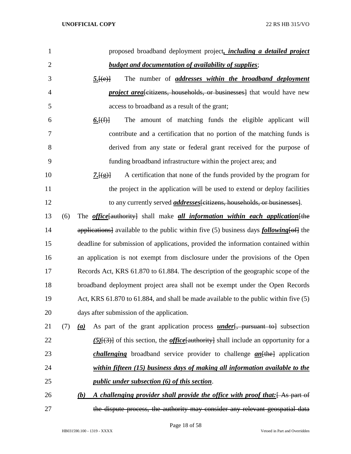| 1              | proposed broadband deployment project, <i>including a detailed project</i>                        |
|----------------|---------------------------------------------------------------------------------------------------|
| $\overline{2}$ | <b>budget and documentation of availability of supplies;</b>                                      |
| 3              | The number of <i>addresses</i> within the broadband deployment<br>5.[(e)]                         |
| $\overline{4}$ | <i>project area</i> eitizens, households, or businesses] that would have new                      |
| 5              | access to broadband as a result of the grant;                                                     |
| 6              | The amount of matching funds the eligible applicant will<br><u>6. <math>[(f)]</math></u>          |
| 7              | contribute and a certification that no portion of the matching funds is                           |
| 8              | derived from any state or federal grant received for the purpose of                               |
| 9              | funding broadband infrastructure within the project area; and                                     |
| 10             | A certification that none of the funds provided by the program for<br>$\frac{7.[(g)}{2}$          |
| 11             | the project in the application will be used to extend or deploy facilities                        |
| 12             | to any currently served <i>addresses</i> [citizens, households, or businesses].                   |
| 13<br>(6)      | The <i>office</i> [authority] shall make <i>all information within each application</i> [the      |
| 14             | applications] available to the public within five (5) business days <i>following</i> [of] the     |
| 15             | deadline for submission of applications, provided the information contained within                |
| 16             | an application is not exempt from disclosure under the provisions of the Open                     |
| 17             | Records Act, KRS 61.870 to 61.884. The description of the geographic scope of the                 |
| 18             | broadband deployment project area shall not be exempt under the Open Records                      |
| 19             | Act, KRS 61.870 to 61.884, and shall be made available to the public within five (5)              |
| 20             | days after submission of the application.                                                         |
| 21<br>(7)      | As part of the grant application process <i>under</i> [, pursuant to ] subsection<br>(a)          |
| 22             | $(5)$ [ $(3)$ ] of this section, the <i>office</i> [authority] shall include an opportunity for a |
| 23             | <i>challenging</i> broadband service provider to challenge $an$ <sup>[the]</sup> application      |
| 24             | within fifteen (15) business days of making all information available to the                      |
| 25             | <i>public under subsection (6) of this section.</i>                                               |
| 26             | A challenging provider shall provide the office with proof that: As part of<br>(b)                |
| 27             | the dispute process, the authority may consider any relevant geospatial data                      |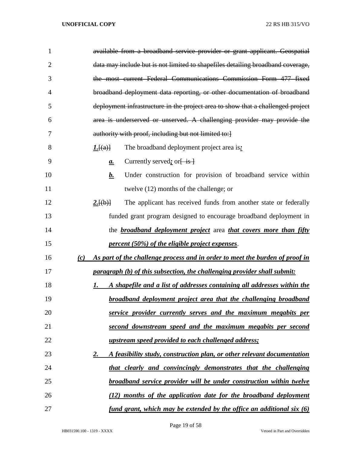| $\mathbf{1}$   | available from a broadband service provider or grant applicant. Geospatial          |
|----------------|-------------------------------------------------------------------------------------|
| $\overline{2}$ | data may include but is not limited to shapefiles detailing broadband coverage,     |
| 3              | the most current Federal Communications Commission Form 477 fixed                   |
| 4              | broadband deployment data reporting, or other documentation of broadband            |
| 5              | deployment infrastructure in the project area to show that a challenged project     |
| 6              | area is underserved or unserved. A challenging provider may provide the             |
| 7              | authority with proof, including but not limited to:]                                |
| 8              | The broadband deployment project area is:<br><u><i>I.</i></u> [(a)]                 |
| 9              | Currently served; or $\frac{1}{1}$ is $\frac{1}{2}$<br>$\mathbf{a}$ .               |
| 10             | Under construction for provision of broadband service within<br><u>b.</u>           |
| 11             | twelve (12) months of the challenge; or                                             |
| 12             | 2.[(b)]<br>The applicant has received funds from another state or federally         |
| 13             | funded grant program designed to encourage broadband deployment in                  |
| 14             | the <b>broadband deployment project</b> area <i>that covers more than fifty</i>     |
| 15             | <i>percent (50%) of the eligible project expenses.</i>                              |
| 16             | As part of the challenge process and in order to meet the burden of proof in<br>(c) |
| 17             | paragraph (b) of this subsection, the challenging provider shall submit:            |
| 18             | A shapefile and a list of addresses containing all addresses within the<br>1.       |
| 19             | <b>broadband deployment project area that the challenging broadband</b>             |
| 20             | service provider currently serves and the maximum megabits per                      |
| 21             | second downstream speed and the maximum megabits per second                         |
| 22             | <i>upstream speed provided to each challenged address;</i>                          |
| 23             | A feasibility study, construction plan, or other relevant documentation<br>2.       |
| 24             | that clearly and convincingly demonstrates that the challenging                     |
| 25             | <b>broadband service provider will be under construction within twelve</b>          |
| 26             | (12) months of the application date for the broadband deployment                    |
| 27             | <u>fund grant, which may be extended by the office an additional six (6)</u>        |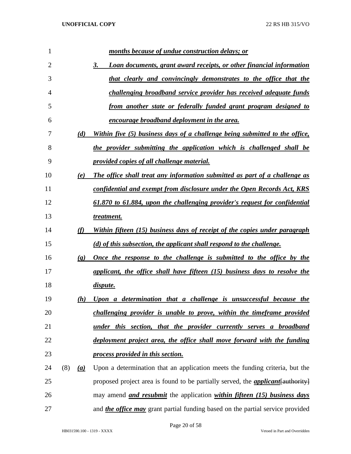| 1  |     |                             | months because of undue construction delays; or                                         |
|----|-----|-----------------------------|-----------------------------------------------------------------------------------------|
| 2  |     |                             | Loan documents, grant award receipts, or other financial information<br>3.              |
| 3  |     |                             | that clearly and convincingly demonstrates to the office that the                       |
| 4  |     |                             | challenging broadband service provider has received adequate funds                      |
| 5  |     |                             | from another state or federally funded grant program designed to                        |
| 6  |     |                             | <u>encourage broadband deployment in the area.</u>                                      |
| 7  |     | (d)                         | Within five (5) business days of a challenge being submitted to the office,             |
| 8  |     |                             | the provider submitting the application which is challenged shall be                    |
| 9  |     |                             | provided copies of all challenge material.                                              |
| 10 |     | (e)                         | The office shall treat any information submitted as part of a challenge as              |
| 11 |     |                             | confidential and exempt from disclosure under the Open Records Act, KRS                 |
| 12 |     |                             | 61.870 to 61.884, upon the challenging provider's request for confidential              |
| 13 |     |                             | treatment.                                                                              |
| 14 |     | (f)                         | Within fifteen (15) business days of receipt of the copies under paragraph              |
| 15 |     |                             | (d) of this subsection, the applicant shall respond to the challenge.                   |
| 16 |     | $\left( \mathbf{g} \right)$ | <u>Once the response to the challenge is submitted to the office by the</u>             |
| 17 |     |                             | applicant, the office shall have fifteen (15) business days to resolve the              |
| 18 |     |                             | <i>dispute.</i>                                                                         |
| 19 |     | (h)                         | Upon a determination that a challenge is unsuccessful because the                       |
| 20 |     |                             | challenging provider is unable to prove, within the timeframe provided                  |
| 21 |     |                             | under this section, that the provider currently serves a broadband                      |
| 22 |     |                             | deployment project area, the office shall move forward with the funding                 |
| 23 |     |                             | process provided in this section.                                                       |
| 24 | (8) | (a)                         | Upon a determination that an application meets the funding criteria, but the            |
| 25 |     |                             | proposed project area is found to be partially served, the <i>applicant</i> {authority} |
| 26 |     |                             | may amend <i>and resubmit</i> the application <i>within fifteen (15) business days</i>  |
| 27 |     |                             | and <i>the office may</i> grant partial funding based on the partial service provided   |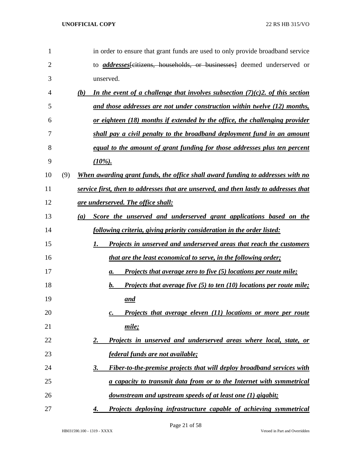| 1  |     | in order to ensure that grant funds are used to only provide broadband service          |
|----|-----|-----------------------------------------------------------------------------------------|
| 2  |     | to <i>addresses</i> eitizens, households, or businesses deemed underserved or           |
| 3  |     | unserved.                                                                               |
| 4  |     | In the event of a challenge that involves subsection $(7)(c)$ 2. of this section<br>(b) |
| 5  |     | and those addresses are not under construction within twelve (12) months,               |
| 6  |     | <u>or eighteen (18) months if extended by the office, the challenging provider</u>      |
| 7  |     | shall pay a civil penalty to the broadband deployment fund in an amount                 |
| 8  |     | equal to the amount of grant funding for those addresses plus ten percent               |
| 9  |     | $(10\%)$ .                                                                              |
| 10 | (9) | When awarding grant funds, the office shall award funding to addresses with no          |
| 11 |     | service first, then to addresses that are unserved, and then lastly to addresses that   |
| 12 |     | <u>are underserved. The office shall:</u>                                               |
| 13 |     | Score the unserved and underserved grant applications based on the<br>(a)               |
| 14 |     | following criteria, giving priority consideration in the order listed:                  |
| 15 |     | Projects in unserved and underserved areas that reach the customers<br>1.               |
| 16 |     | <i>that are the least economical to serve, in the following order;</i>                  |
| 17 |     | Projects that average zero to five (5) locations per route mile;<br>а.                  |
| 18 |     | Projects that average five $(5)$ to ten $(10)$ locations per route mile;<br>b.          |
| 19 |     | and                                                                                     |
| 20 |     | Projects that average eleven (11) locations or more per route<br>c.                     |
| 21 |     | mile;                                                                                   |
| 22 |     | Projects in unserved and underserved areas where local, state, or<br>2.                 |
| 23 |     | federal funds are not available;                                                        |
| 24 |     | Fiber-to-the-premise projects that will deploy broadband services with<br>3.            |
| 25 |     | a capacity to transmit data from or to the Internet with symmetrical                    |
| 26 |     | downstream and upstream speeds of at least one (1) gigabit;                             |
| 27 |     | Projects deploying infrastructure capable of achieving symmetrical<br>4.                |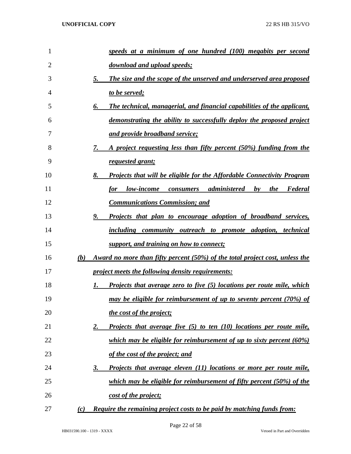| 1  |     | speeds at a minimum of one hundred (100) megabits per second                        |
|----|-----|-------------------------------------------------------------------------------------|
| 2  |     | download and upload speeds;                                                         |
| 3  |     | The size and the scope of the unserved and underserved area proposed<br>5.          |
| 4  |     | to be served;                                                                       |
| 5  |     | The technical, managerial, and financial capabilities of the applicant,<br>6.       |
| 6  |     | demonstrating the ability to successfully deploy the proposed project               |
| 7  |     | and provide broadband service;                                                      |
| 8  |     | A project requesting less than fifty percent (50%) funding from the<br>7.           |
| 9  |     | <u>requested grant;</u>                                                             |
| 10 |     | <b>Projects that will be eligible for the Affordable Connectivity Program</b><br>8. |
| 11 |     | low-income consumers administered<br>$\mathbf{b}$ v<br><i>the</i><br>Federal<br>for |
| 12 |     | <b>Communications Commission; and</b>                                               |
| 13 |     | 9.<br><u>Projects that plan to encourage adoption of broadband services,</u>        |
| 14 |     | including community outreach to promote adoption, technical                         |
| 15 |     | support, and training on how to connect;                                            |
| 16 | (b) | Award no more than fifty percent (50%) of the total project cost, unless the        |
| 17 |     | project meets the following density requirements:                                   |
| 18 |     | <b>Projects that average zero to five (5) locations per route mile, which</b><br>Ι. |
| 19 |     | may be eligible for reimbursement of up to seventy percent (70%) of                 |
| 20 |     | the cost of the project;                                                            |
| 21 |     | Projects that average five (5) to ten (10) locations per route mile,<br><u>2.</u>   |
| 22 |     | which may be eligible for reimbursement of up to sixty percent (60%)                |
| 23 |     | <u>of the cost of the project; and</u>                                              |
| 24 |     | Projects that average eleven (11) locations or more per route mile,<br><u>3.</u>    |
| 25 |     | which may be eligible for reimbursement of fifty percent (50%) of the               |
| 26 |     | <u>cost of the project;</u>                                                         |
| 27 | (c) | <b>Require the remaining project costs to be paid by matching funds from:</b>       |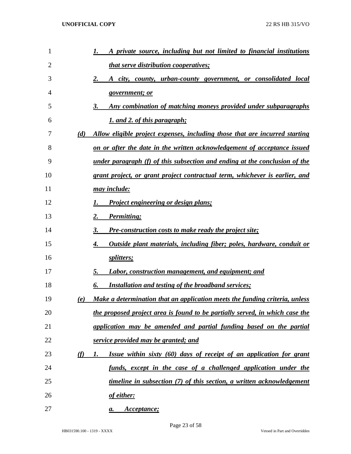| 1  |          | A private source, including but not limited to financial institutions        |
|----|----------|------------------------------------------------------------------------------|
| 2  |          | <i>that serve distribution cooperatives;</i>                                 |
| 3  |          | 2.<br><u>A city, county, urban-county government, or consolidated local</u>  |
| 4  |          | government; or                                                               |
| 5  |          | Any combination of matching moneys provided under subparagraphs<br>3.        |
| 6  |          | <u>1. and 2. of this paragraph;</u>                                          |
| 7  | (d)      | Allow eligible project expenses, including those that are incurred starting  |
| 8  |          | on or after the date in the written acknowledgement of acceptance issued     |
| 9  |          | under paragraph (f) of this subsection and ending at the conclusion of the   |
| 10 |          | grant project, or grant project contractual term, whichever is earlier, and  |
| 11 |          | <u>may include:</u>                                                          |
| 12 |          | <b>Project engineering or design plans;</b>                                  |
| 13 |          | Permitting;<br>2.                                                            |
| 14 |          | <b>Pre-construction costs to make ready the project site;</b><br>3.          |
| 15 |          | Outside plant materials, including fiber; poles, hardware, conduit or<br>4.  |
| 16 |          | splitters;                                                                   |
| 17 |          | <b>Labor, construction management, and equipment; and</b><br>5.              |
| 18 |          | <b>Installation and testing of the broadband services;</b><br>6.             |
| 19 | (e)      | Make a determination that an application meets the funding criteria, unless  |
| 20 |          | the proposed project area is found to be partially served, in which case the |
| 21 |          | application may be amended and partial funding based on the partial          |
| 22 |          | service provided may be granted; and                                         |
| 23 | $\omega$ | Issue within sixty (60) days of receipt of an application for grant<br>1.    |
| 24 |          | funds, except in the case of a challenged application under the              |
| 25 |          | timeline in subsection (7) of this section, a written acknowledgement        |
| 26 |          | of either:                                                                   |
| 27 |          | Acceptance;<br>а.                                                            |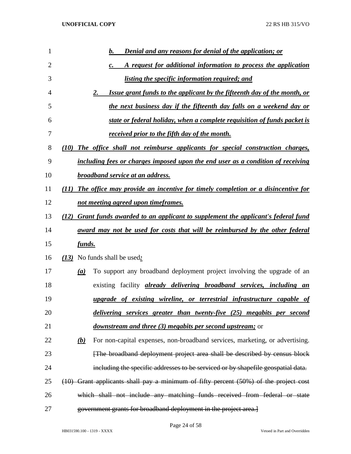| 1  |                  | <b>Denial and any reasons for denial of the application; or</b><br>b.                    |
|----|------------------|------------------------------------------------------------------------------------------|
| 2  |                  | A request for additional information to process the application<br>$\mathbf{c}$ .        |
| 3  |                  | listing the specific information required; and                                           |
| 4  |                  | Issue grant funds to the applicant by the fifteenth day of the month, or<br>2.           |
| 5  |                  | the next business day if the fifteenth day falls on a weekend day or                     |
| 6  |                  | state or federal holiday, when a complete requisition of funds packet is                 |
| 7  |                  | received prior to the fifth day of the month.                                            |
| 8  | (10)             | The office shall not reimburse applicants for special construction charges,              |
| 9  |                  | including fees or charges imposed upon the end user as a condition of receiving          |
| 10 |                  | broadband service at an address.                                                         |
| 11 | (11)             | The office may provide an incentive for timely completion or a disincentive for          |
| 12 |                  | not meeting agreed upon timeframes.                                                      |
| 13 | (12)             | <b>Grant funds awarded to an applicant to supplement the applicant's federal fund</b>    |
| 14 |                  | <u>award may not be used for costs that will be reimbursed by the other federal</u>      |
| 15 | <u>funds.</u>    |                                                                                          |
| 16 |                  | (13) No funds shall be used:                                                             |
| 17 | $\left(a\right)$ | To support any broadband deployment project involving the upgrade of an                  |
| 18 |                  | existing facility <i>already delivering broadband services</i> , <i>including an</i>     |
| 19 |                  | upgrade of existing wireline, or terrestrial infrastructure capable of                   |
| 20 |                  | delivering services greater than twenty-five (25) megabits per second                    |
| 21 |                  | <i>downstream and three (3) megabits per second upstream;</i> or                         |
| 22 | <u>(b)</u>       | For non-capital expenses, non-broadband services, marketing, or advertising.             |
| 23 |                  | [The broadband deployment project area shall be described by census block                |
| 24 |                  | including the specific addresses to be serviced or by shapefile geospatial data.         |
| 25 |                  | $(10)$ Grant applicants shall pay a minimum of fifty percent $(50%)$ of the project cost |
| 26 |                  | which shall not include any matching funds received from federal or state                |
| 27 |                  | government grants for broadband deployment in the project area.                          |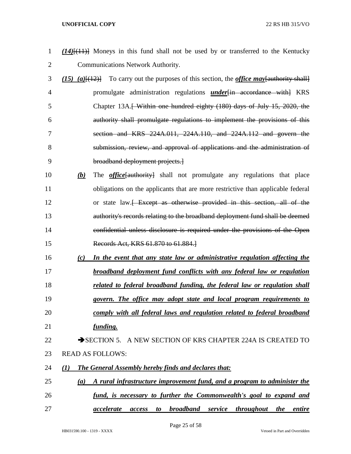- *(14)*[(11)] Moneys in this fund shall not be used by or transferred to the Kentucky Communications Network Authority.
- *(15) (a)*[(12)] To carry out the purposes of this section, the *office may*[authority shall] promulgate administration regulations *under*[in accordance with] KRS 5 Chapter 13A.<del>[ Within one hundred eighty (180) days of July 15, 2020, the</del> authority shall promulgate regulations to implement the provisions of this section and KRS 224A.011, 224A.110, and 224A.112 and govern the submission, review, and approval of applications and the administration of broadband deployment projects.]
- *(b)* The *office*[authority] shall not promulgate any regulations that place obligations on the applicants that are more restrictive than applicable federal 12 or state law.<del> Except as otherwise provided in this section, all of the</del> authority's records relating to the broadband deployment fund shall be deemed confidential unless disclosure is required under the provisions of the Open Records Act, KRS 61.870 to 61.884.]
- *(c) In the event that any state law or administrative regulation affecting the broadband deployment fund conflicts with any federal law or regulation*
- *related to federal broadband funding, the federal law or regulation shall*
- *govern. The office may adopt state and local program requirements to*
- *comply with all federal laws and regulation related to federal broadband funding.*
- 22 SECTION 5. A NEW SECTION OF KRS CHAPTER 224A IS CREATED TO READ AS FOLLOWS:
- *(1) The General Assembly hereby finds and declares that:*
- *(a) A rural infrastructure improvement fund, and a program to administer the fund, is necessary to further the Commonwealth's goal to expand and*
- *accelerate access to broadband service throughout the entire*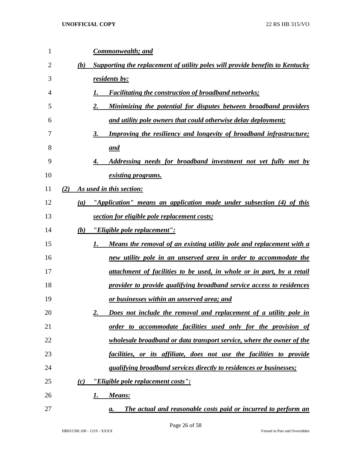| 1  |     | <u>Commonwealth; and</u>                                                         |
|----|-----|----------------------------------------------------------------------------------|
| 2  | (b) | Supporting the replacement of utility poles will provide benefits to Kentucky    |
| 3  |     | residents by:                                                                    |
| 4  |     | <b>Facilitating the construction of broadband networks;</b><br>1.                |
| 5  |     | 2.<br>Minimizing the potential for disputes between broadband providers          |
| 6  |     | and utility pole owners that could otherwise delay deployment;                   |
| 7  |     | <b>Improving the resiliency and longevity of broadband infrastructure;</b><br>3. |
| 8  |     | and                                                                              |
| 9  |     | <u>Addressing needs for broadband investment not yet fully met by</u>            |
| 10 |     | <u>existing programs.</u>                                                        |
| 11 | (2) | As used in this section:                                                         |
| 12 | (a) | "Application" means an application made under subsection (4) of this             |
| 13 |     | section for eligible pole replacement costs;                                     |
| 14 | (b) | <u>"Eligible pole replacement":</u>                                              |
| 15 |     | Means the removal of an existing utility pole and replacement with a<br>1.       |
| 16 |     | <u>new utility pole in an unserved area in order to accommodate the</u>          |
| 17 |     | attachment of facilities to be used, in whole or in part, by a retail            |
| 18 |     | provider to provide qualifying broadband service access to residences            |
| 19 |     | or businesses within an unserved area; and                                       |
| 20 |     | Does not include the removal and replacement of a utility pole in<br>2.          |
| 21 |     | order to accommodate facilities used only for the provision of                   |
| 22 |     | <u>wholesale broadband or data transport service, where the owner of the</u>     |
| 23 |     | facilities, or its affiliate, does not use the facilities to provide             |
| 24 |     | qualifying broadband services directly to residences or businesses;              |
| 25 | (c) | <u>"Eligible pole replacement costs":</u>                                        |
| 26 |     | Means:<br>1.                                                                     |
| 27 |     | The actual and reasonable costs paid or incurred to perform an<br>а.             |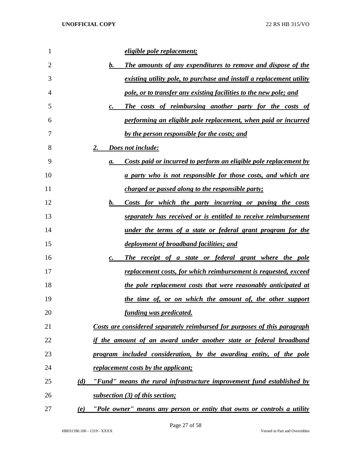| 1  | <u>eligible pole replacement;</u>                                                      |
|----|----------------------------------------------------------------------------------------|
| 2  | The amounts of any expenditures to remove and dispose of the<br><u>b.</u>              |
| 3  | <u>existing utility pole, to purchase and install a replacement utility</u>            |
| 4  | pole, or to transfer any existing facilities to the new pole; and                      |
| 5  | The costs of reimbursing another party for the costs of<br>$\mathbf{c}$ .              |
| 6  | performing an eligible pole replacement, when paid or incurred                         |
| 7  | by the person responsible for the costs; and                                           |
| 8  | <b>Does not include:</b><br><u>2.</u>                                                  |
| 9  | <u>Costs paid or incurred to perform an eligible pole replacement by</u><br>а.         |
| 10 | <u>a party who is not responsible for those costs, and which are</u>                   |
| 11 | <i>charged or passed along to the responsible party;</i>                               |
| 12 | Costs for which the party incurring or paying the costs<br>b.                          |
| 13 | <u>separately has received or is entitled to receive reimbursement</u>                 |
| 14 | <u>under the terms of a state or federal grant program for the</u>                     |
| 15 | <u>deployment of broadband facilities; and</u>                                         |
| 16 | The receipt of a state or federal grant where the pole<br>$\boldsymbol{c}$ .           |
| 17 | <u>replacement costs, for which reimbursement is requested, exceed</u>                 |
| 18 | the pole replacement costs that were reasonably anticipated at                         |
| 19 | the time of, or on which the amount of, the other support                              |
| 20 | funding was predicated.                                                                |
| 21 | Costs are considered separately reimbursed for purposes of this paragraph              |
| 22 | if the amount of an award under another state or federal broadband                     |
| 23 | program included consideration, by the awarding entity, of the pole                    |
| 24 | replacement costs by the applicant;                                                    |
| 25 | "Fund" means the rural infrastructure improvement fund established by<br>(d)           |
| 26 | subsection (3) of this section;                                                        |
| 27 | "Pole owner <u>" means any person or entity that owns or controls a utility</u><br>(e) |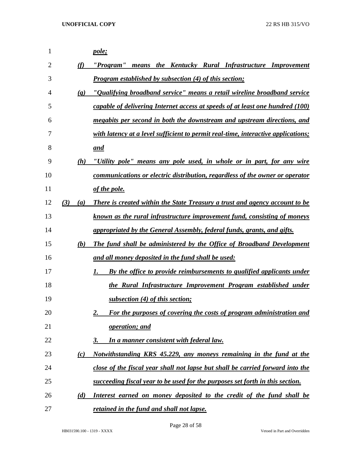| 1  |                             | pole;                                                                               |
|----|-----------------------------|-------------------------------------------------------------------------------------|
| 2  | (f)                         | "Program" means the Kentucky Rural Infrastructure Improvement                       |
| 3  |                             | <b>Program established by subsection (4) of this section;</b>                       |
| 4  | $\left( \mathbf{g} \right)$ | "Qualifying broadband service" means a retail wireline broadband service            |
| 5  |                             | capable of delivering Internet access at speeds of at least one hundred (100)       |
| 6  |                             | megabits per second in both the downstream and upstream directions, and             |
| 7  |                             | with latency at a level sufficient to permit real-time, interactive applications;   |
| 8  |                             | and                                                                                 |
| 9  | (h)                         | "Utility pole" means any pole used, in whole or in part, for any wire               |
| 10 |                             | <u>communications or electric distribution, regardless of the owner or operator</u> |
| 11 |                             | of the pole.                                                                        |
| 12 | (3)<br>(a)                  | <b>There is created within the State Treasury a trust and agency account to be</b>  |
| 13 |                             | known as the rural infrastructure improvement fund, consisting of moneys            |
| 14 |                             | appropriated by the General Assembly, federal funds, grants, and gifts.             |
| 15 | (b)                         | The fund shall be administered by the Office of Broadband Development               |
| 16 |                             | and all money deposited in the fund shall be used:                                  |
| 17 |                             | By the office to provide reimbursements to qualified applicants under<br>1.         |
| 18 |                             | the Rural Infrastructure Improvement Program established under                      |
| 19 |                             | subsection (4) of this section;                                                     |
| 20 |                             | For the purposes of covering the costs of program administration and<br>2.          |
| 21 |                             | operation; and                                                                      |
| 22 |                             | In a manner consistent with federal law.<br>3.                                      |
| 23 | (c)                         | Notwithstanding KRS 45.229, any moneys remaining in the fund at the                 |
| 24 |                             | close of the fiscal year shall not lapse but shall be carried forward into the      |
| 25 |                             | succeeding fiscal year to be used for the purposes set forth in this section.       |
| 26 | (d)                         | Interest earned on money deposited to the credit of the fund shall be               |
| 27 |                             | retained in the fund and shall not lapse.                                           |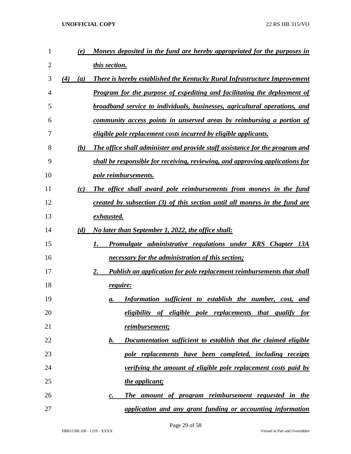| $\mathbf{1}$ | (e)        | Moneys deposited in the fund are hereby appropriated for the purposes in           |
|--------------|------------|------------------------------------------------------------------------------------|
| 2            |            | this section.                                                                      |
| 3            | (4)<br>(a) | <b>There is hereby established the Kentucky Rural Infrastructure Improvement</b>   |
| 4            |            | <b>Program for the purpose of expediting and facilitating the deployment of</b>    |
| 5            |            | broadband service to individuals, businesses, agricultural operations, and         |
| 6            |            | community access points in unserved areas by reimbursing a portion of              |
| 7            |            | <i>eligible pole replacement costs incurred by eligible applicants.</i>            |
| 8            | (b)        | The office shall administer and provide staff assistance for the program and       |
| 9            |            | shall be responsible for receiving, reviewing, and approving applications for      |
| 10           |            | pole reimbursements.                                                               |
| 11           | (c)        | The office shall award pole reimbursements from moneys in the fund                 |
| 12           |            | created by subsection (3) of this section until all moneys in the fund are         |
| 13           |            | exhausted.                                                                         |
| 14           | (d)        | No later than September 1, 2022, the office shall:                                 |
| 15           |            | <b>Promulgate administrative regulations under KRS Chapter 13A</b><br>1.           |
| 16           |            | <u>necessary for the administration of this section;</u>                           |
| 17           |            | 2.<br><b>Publish an application for pole replacement reimbursements that shall</b> |
| 18           |            | require:                                                                           |
| 19           |            | Information sufficient to establish the number, cost,<br>and<br>а.                 |
| 20           |            | eligibility of eligible pole replacements that qualify for                         |
| 21           |            | <u>reimbursement;</u>                                                              |
| 22           |            | Documentation sufficient to establish that the claimed eligible<br>b.              |
| 23           |            | pole replacements have been completed, including receipts                          |
| 24           |            | verifying the amount of eligible pole replacement costs paid by                    |
| 25           |            | the applicant;                                                                     |
| 26           |            | The amount of program reimbursement requested in the<br>$\mathcal{C}$ .            |
| 27           |            | application and any grant funding or accounting information                        |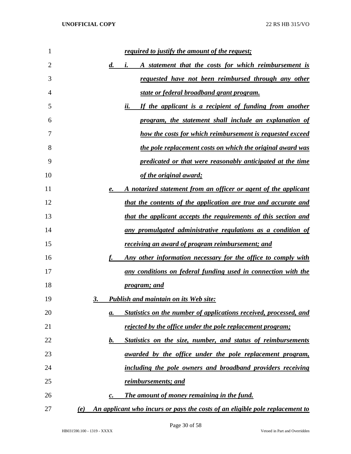| 1  | <u>required to justify the amount of the request;</u>                                    |
|----|------------------------------------------------------------------------------------------|
| 2  | A statement that the costs for which reimbursement is<br>$\boldsymbol{d}$ .<br>$\iota$ . |
| 3  | requested have not been reimbursed through any other                                     |
| 4  | state or federal broadband grant program.                                                |
| 5  | If the applicant is a recipient of funding from another<br>ii.                           |
| 6  | program, the statement shall include an explanation of                                   |
| 7  | how the costs for which reimbursement is requested exceed                                |
| 8  | the pole replacement costs on which the original award was                               |
| 9  | predicated or that were reasonably anticipated at the time                               |
| 10 | of the original award;                                                                   |
| 11 | A notarized statement from an officer or agent of the applicant<br>e.                    |
| 12 | that the contents of the application are true and accurate and                           |
| 13 | that the applicant accepts the requirements of this section and                          |
| 14 | any promulgated administrative regulations as a condition of                             |
| 15 | receiving an award of program reimbursement; and                                         |
| 16 | Any other information necessary for the office to comply with                            |
| 17 | any conditions on federal funding used in connection with the                            |
| 18 | <u>program; and</u>                                                                      |
| 19 | <b>Publish and maintain on its Web site:</b><br>3.                                       |
| 20 | Statistics on the number of applications received, processed, and<br>a.                  |
| 21 | rejected by the office under the pole replacement program;                               |
| 22 | Statistics on the size, number, and status of reimbursements<br>b.                       |
| 23 | awarded by the office under the pole replacement program,                                |
| 24 | including the pole owners and broadband providers receiving                              |
| 25 | reimbursements; and                                                                      |
| 26 | The amount of money remaining in the fund.<br>c.                                         |
| 27 | An applicant who incurs or pays the costs of an eligible pole replacement to<br>(e)      |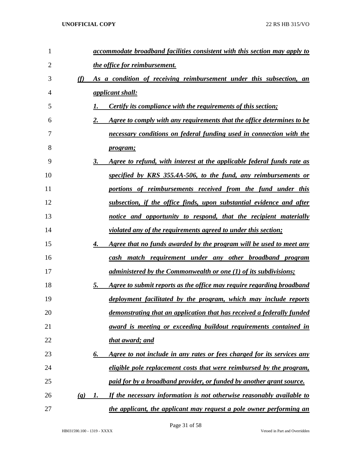| 1              |                             | accommodate broadband facilities consistent with this section may apply to       |
|----------------|-----------------------------|----------------------------------------------------------------------------------|
| $\overline{2}$ |                             | the office for reimbursement.                                                    |
| 3              | (f)                         | As a condition of receiving reimbursement under this subsection, an              |
| 4              |                             | <i><u><b>applicant shall:</b></u></i>                                            |
| 5              |                             | Certify its compliance with the requirements of this section;                    |
| 6              |                             | Agree to comply with any requirements that the office determines to be<br>2.     |
| 7              |                             | necessary conditions on federal funding used in connection with the              |
| 8              |                             | <u>program;</u>                                                                  |
| 9              |                             | 3.<br>Agree to refund, with interest at the applicable federal funds rate as     |
| 10             |                             | specified by KRS 355.4A-506, to the fund, any reimbursements or                  |
| 11             |                             | portions of reimbursements received from the fund under this                     |
| 12             |                             | subsection, if the office finds, upon substantial evidence and after             |
| 13             |                             | notice and opportunity to respond, that the recipient materially                 |
| 14             |                             | <i>violated any of the requirements agreed to under this section;</i>            |
| 15             |                             | 4.<br><u>Agree that no funds awarded by the program will be used to meet any</u> |
| 16             |                             | cash match requirement under any other broadband program                         |
| 17             |                             | <u>administered by the Commonwealth or one (1) of its subdivisions;</u>          |
| 18             |                             | 5.<br>Agree to submit reports as the office may require regarding broadband      |
| 19             |                             | deployment facilitated by the program, which may include reports                 |
| 20             |                             | demonstrating that an application that has received a federally funded           |
| 21             |                             | award is meeting or exceeding buildout requirements contained in                 |
| 22             |                             | that award; and                                                                  |
| 23             |                             | Agree to not include in any rates or fees charged for its services any<br>6.     |
| 24             |                             | eligible pole replacement costs that were reimbursed by the program,             |
| 25             |                             | <u>paid for by a broadband provider, or funded by another grant source.</u>      |
| 26             | $\left( \mathbf{g} \right)$ | If the necessary information is not otherwise reasonably available to<br>1.      |
| 27             |                             | the applicant, the applicant may request a pole owner performing an              |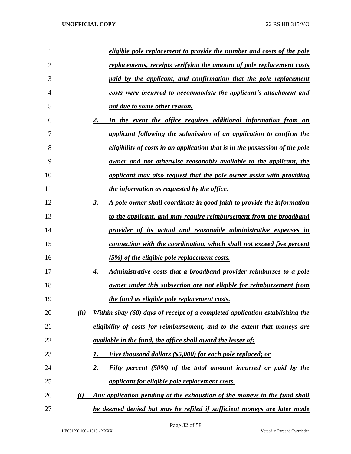| 1              | eligible pole replacement to provide the number and costs of the pole                |
|----------------|--------------------------------------------------------------------------------------|
| $\overline{2}$ | replacements, receipts verifying the amount of pole replacement costs                |
| 3              | paid by the applicant, and confirmation that the pole replacement                    |
| $\overline{4}$ | costs were incurred to accommodate the applicant's attachment and                    |
| 5              | not due to some other reason.                                                        |
| 6              | In the event the office requires additional information from an<br>2.                |
| 7              | applicant following the submission of an application to confirm the                  |
| 8              | eligibility of costs in an application that is in the possession of the pole         |
| 9              | <u>owner and not otherwise reasonably available to the applicant, the</u>            |
| 10             | applicant may also request that the pole owner assist with providing                 |
| 11             | the information as requested by the office.                                          |
| 12             | A pole owner shall coordinate in good faith to provide the information<br>3.         |
| 13             | to the applicant, and may require reimbursement from the broadband                   |
| 14             | provider of its actual and reasonable administrative expenses in                     |
| 15             | <u>connection with the coordination, which shall not exceed five percent</u>         |
| 16             | (5%) of the eligible pole replacement costs.                                         |
| 17             | Administrative costs that a broadband provider reimburses to a pole<br>4.            |
| 18             | owner under this subsection are not eligible for reimbursement from                  |
| 19             | the fund as eligible pole replacement costs.                                         |
| 20             | Within sixty (60) days of receipt of a completed application establishing the<br>(h) |
| 21             | eligibility of costs for reimbursement, and to the extent that moneys are            |
| 22             | <i>available in the fund, the office shall award the lesser of:</i>                  |
| 23             | Five thousand dollars (\$5,000) for each pole replaced; or<br>1.                     |
| 24             | Fifty percent (50%) of the total amount incurred or paid by the<br>2.                |
| 25             | applicant for eligible pole replacement costs.                                       |
| 26             | Any application pending at the exhaustion of the moneys in the fund shall<br>(i)     |
| 27             | be deemed denied but may be refiled if sufficient moneys are later made              |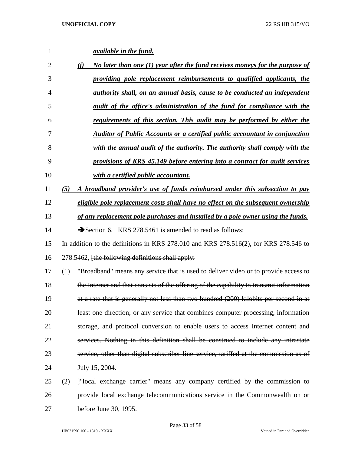| 1              | <i><u>available in the fund.</u></i>                                                     |
|----------------|------------------------------------------------------------------------------------------|
| $\overline{2}$ | No later than one (1) year after the fund receives moneys for the purpose of<br>(i)      |
| 3              | providing pole replacement reimbursements to qualified applicants, the                   |
| $\overline{4}$ | <i>authority shall, on an annual basis, cause to be conducted an independent</i>         |
| 5              | audit of the office's administration of the fund for compliance with the                 |
| 6              | <u>requirements of this section. This audit may be performed by either the</u>           |
| 7              | <b>Auditor of Public Accounts or a certified public accountant in conjunction</b>        |
| 8              | with the annual audit of the authority. The authority shall comply with the              |
| 9              | provisions of KRS 45.149 before entering into a contract for audit services              |
| 10             | with a certified public accountant.                                                      |
| 11             | A broadband provider's use of funds reimbursed under this subsection to pay<br>(5)       |
| 12             | eligible pole replacement costs shall have no effect on the subsequent ownership         |
| 13             | of any replacement pole purchases and installed by a pole owner using the funds.         |
| 14             | Section 6. KRS 278.5461 is amended to read as follows:                                   |
| 15             | In addition to the definitions in KRS 278.010 and KRS 278.516(2), for KRS 278.546 to     |
| 16             | 278.5462, [the following definitions shall apply:                                        |
| 17             | (1) "Broadband" means any service that is used to deliver video or to provide access to  |
| 18             | the Internet and that consists of the offering of the capability to transmit information |
| 19             | at a rate that is generally not less than two hundred (200) kilobits per second in at    |
| 20             | least one direction; or any service that combines computer processing, information       |
| 21             | storage, and protocol conversion to enable users to access Internet content and          |
| 22             | services. Nothing in this definition shall be construed to include any intrastate        |
| 23             | service, other than digital subscriber line service, tariffed at the commission as of    |
| 24             | July 15, 2004.                                                                           |
| 25             | $\frac{2}{2}$ - Tocal exchange carrier" means any company certified by the commission to |
| 26             | provide local exchange telecommunications service in the Commonwealth on or              |
| 27             | before June 30, 1995.                                                                    |

Page 33 of 58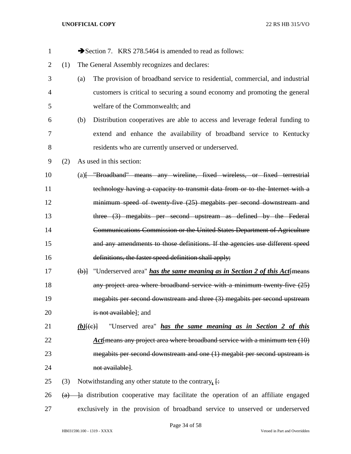| 1              |     | Section 7. KRS 278.5464 is amended to read as follows:                                  |
|----------------|-----|-----------------------------------------------------------------------------------------|
| $\overline{2}$ | (1) | The General Assembly recognizes and declares:                                           |
| 3              |     | The provision of broadband service to residential, commercial, and industrial<br>(a)    |
| 4              |     | customers is critical to securing a sound economy and promoting the general             |
| 5              |     | welfare of the Commonwealth; and                                                        |
| 6              |     | Distribution cooperatives are able to access and leverage federal funding to<br>(b)     |
| 7              |     | extend and enhance the availability of broadband service to Kentucky                    |
| 8              |     | residents who are currently unserved or underserved.                                    |
| 9              | (2) | As used in this section:                                                                |
| 10             |     | (a) [ "Broadband" means any wireline, fixed wireless, or fixed terrestrial              |
| 11             |     | technology having a capacity to transmit data from or to the Internet with a            |
| 12             |     | minimum speed of twenty five (25) megabits per second downstream and                    |
| 13             |     | three (3) megabits per second upstream as defined by the Federal                        |
| 14             |     | Communications Commission or the United States Department of Agriculture                |
| 15             |     | and any amendments to those definitions. If the agencies use different speed            |
| 16             |     | definitions, the faster speed definition shall apply;                                   |
| 17             |     | $\Theta$ ) "Underserved area" has the same meaning as in Section 2 of this Act {means}  |
| 18             |     | any project area where broadband service with a minimum twenty-five (25)                |
| 19             |     | megabits per second downstream and three (3) megabits per second upstream               |
| 20             |     | is not available]; and                                                                  |
| 21             |     | "Unserved area" has the same meaning as in Section 2 of this<br>$(b)$ $(e)$             |
| 22             |     | Act means any project area where broadband service with a minimum ten (10)              |
| 23             |     | megabits per second downstream and one (1) megabit per second upstream is               |
| 24             |     | not available].                                                                         |
| 25             | (3) | Notwithstanding any other statute to the contrary, $\frac{1}{x}$                        |
| 26             |     | $(a)$ - a distribution cooperative may facilitate the operation of an affiliate engaged |
| 27             |     | exclusively in the provision of broadband service to unserved or underserved            |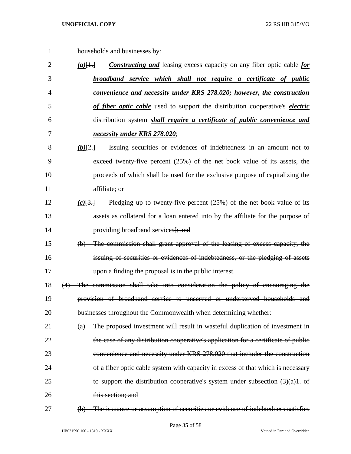- households and businesses by: *(a)*[1.] *Constructing and* leasing excess capacity on any fiber optic cable *for broadband service which shall not require a certificate of public convenience and necessity under KRS 278.020; however, the construction of fiber optic cable* used to support the distribution cooperative's *electric* distribution system *shall require a certificate of public convenience and necessity under KRS 278.020*; *(b)*[2.] Issuing securities or evidences of indebtedness in an amount not to exceed twenty-five percent (25%) of the net book value of its assets, the proceeds of which shall be used for the exclusive purpose of capitalizing the affiliate; or *(c)*[3.] Pledging up to twenty-five percent (25%) of the net book value of its assets as collateral for a loan entered into by the affiliate for the purpose of 14 providing broadband services [; and (b) The commission shall grant approval of the leasing of excess capacity, the issuing of securities or evidences of indebtedness, or the pledging of assets upon a finding the proposal is in the public interest. (4) The commission shall take into consideration the policy of encouraging the provision of broadband service to unserved or underserved households and 20 businesses throughout the Commonwealth when determining whether: (a) The proposed investment will result in wasteful duplication of investment in the case of any distribution cooperative's application for a certificate of public convenience and necessity under KRS 278.020 that includes the construction 24 of a fiber optic cable system with capacity in excess of that which is necessary
- 25 to support the distribution cooperative's system under subsection  $(3)(a)1$ . of 26 this section: and
- 

(b) The issuance or assumption of securities or evidence of indebtedness satisfies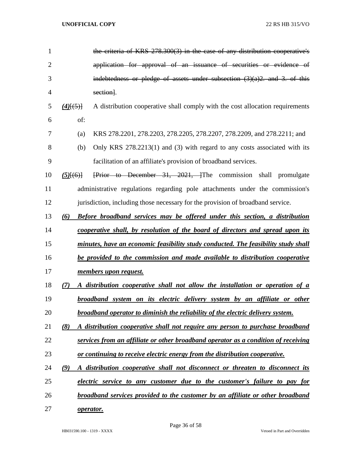| $\mathbf{1}$   |                                                                              | the criteria of KRS 278.300(3) in the case of any distribution cooperative's              |  |  |  |  |  |
|----------------|------------------------------------------------------------------------------|-------------------------------------------------------------------------------------------|--|--|--|--|--|
| $\overline{2}$ |                                                                              | application for approval of an issuance of securities or evidence of                      |  |  |  |  |  |
| 3              |                                                                              | indebtedness or pledge of assets under subsection $(3)(a)2$ , and 3, of this              |  |  |  |  |  |
| 4              |                                                                              | section].                                                                                 |  |  |  |  |  |
| 5              | $(4)$ [(5)]                                                                  | A distribution cooperative shall comply with the cost allocation requirements             |  |  |  |  |  |
| 6              | of:                                                                          |                                                                                           |  |  |  |  |  |
| 7              | (a)                                                                          | KRS 278.2201, 278.2203, 278.2205, 278.2207, 278.2209, and 278.2211; and                   |  |  |  |  |  |
| 8              | (b)                                                                          | Only KRS 278.2213(1) and (3) with regard to any costs associated with its                 |  |  |  |  |  |
| 9              |                                                                              | facilitation of an affiliate's provision of broadband services.                           |  |  |  |  |  |
| 10             | $(5)$ $(6)$ }                                                                | Frior to December 31, 2021, The commission shall promulgate                               |  |  |  |  |  |
| 11             |                                                                              | administrative regulations regarding pole attachments under the commission's              |  |  |  |  |  |
| 12             |                                                                              | jurisdiction, including those necessary for the provision of broadband service.           |  |  |  |  |  |
| 13             | (6)                                                                          | <b>Before broadband services may be offered under this section, a distribution</b>        |  |  |  |  |  |
| 14             |                                                                              | cooperative shall, by resolution of the board of directors and spread upon its            |  |  |  |  |  |
| 15             |                                                                              | <u>minutes, have an economic feasibility study conducted. The feasibility study shall</u> |  |  |  |  |  |
| 16             | be provided to the commission and made available to distribution cooperative |                                                                                           |  |  |  |  |  |
| 17             |                                                                              | <u>members upon request.</u>                                                              |  |  |  |  |  |
| 18             | (7)                                                                          | A distribution cooperative shall not allow the installation or operation of a             |  |  |  |  |  |
| 19             |                                                                              | broadband system on its electric delivery system by an affiliate or other                 |  |  |  |  |  |
| 20             |                                                                              | broadband operator to diminish the reliability of the electric delivery system.           |  |  |  |  |  |
| 21             | (8)                                                                          | A distribution cooperative shall not require any person to purchase broadband             |  |  |  |  |  |
| 22             |                                                                              | services from an affiliate or other broadband operator as a condition of receiving        |  |  |  |  |  |
| 23             |                                                                              | or continuing to receive electric energy from the distribution cooperative.               |  |  |  |  |  |
| 24             | (9)                                                                          | A distribution cooperative shall not disconnect or threaten to disconnect its             |  |  |  |  |  |
| 25             |                                                                              | electric service to any customer due to the customer's failure to pay for                 |  |  |  |  |  |
| 26             |                                                                              | broadband services provided to the customer by an affiliate or other broadband            |  |  |  |  |  |
| 27             |                                                                              | operator.                                                                                 |  |  |  |  |  |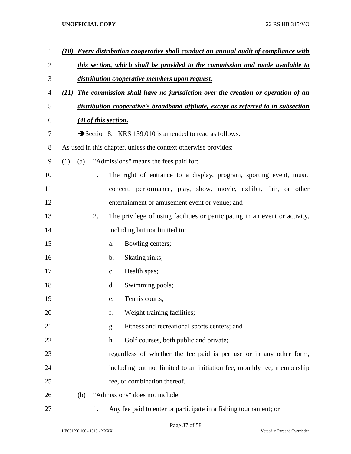| $\mathbf{1}$   | (10)                                                                                   |     |    | Every distribution cooperative shall conduct an annual audit of compliance with     |  |  |
|----------------|----------------------------------------------------------------------------------------|-----|----|-------------------------------------------------------------------------------------|--|--|
| $\overline{2}$ |                                                                                        |     |    | this section, which shall be provided to the commission and made available to       |  |  |
| 3              | distribution cooperative members upon request.                                         |     |    |                                                                                     |  |  |
| 4              | The commission shall have no jurisdiction over the creation or operation of an<br>(11) |     |    |                                                                                     |  |  |
| 5              |                                                                                        |     |    | distribution cooperative's broadband affiliate, except as referred to in subsection |  |  |
| 6              |                                                                                        |     |    | (4) of this section.                                                                |  |  |
| 7              |                                                                                        |     |    | Section 8. KRS 139.010 is amended to read as follows:                               |  |  |
| 8              |                                                                                        |     |    | As used in this chapter, unless the context otherwise provides:                     |  |  |
| 9              | (1)                                                                                    | (a) |    | "Admissions" means the fees paid for:                                               |  |  |
| 10             |                                                                                        |     | 1. | The right of entrance to a display, program, sporting event, music                  |  |  |
| 11             |                                                                                        |     |    | concert, performance, play, show, movie, exhibit, fair, or other                    |  |  |
| 12             |                                                                                        |     |    | entertainment or amusement event or venue; and                                      |  |  |
| 13             |                                                                                        |     | 2. | The privilege of using facilities or participating in an event or activity,         |  |  |
| 14             |                                                                                        |     |    | including but not limited to:                                                       |  |  |
| 15             |                                                                                        |     |    | Bowling centers;<br>a.                                                              |  |  |
| 16             |                                                                                        |     |    | Skating rinks;<br>$\mathbf b$ .                                                     |  |  |
| 17             |                                                                                        |     |    | Health spas;<br>C.                                                                  |  |  |
| 18             |                                                                                        |     |    | Swimming pools;<br>d.                                                               |  |  |
| 19             |                                                                                        |     |    | Tennis courts;<br>e.                                                                |  |  |
| 20             |                                                                                        |     |    | f.<br>Weight training facilities;                                                   |  |  |
| 21             |                                                                                        |     |    | Fitness and recreational sports centers; and<br>g.                                  |  |  |
| 22             |                                                                                        |     |    | Golf courses, both public and private;<br>h.                                        |  |  |
| 23             |                                                                                        |     |    | regardless of whether the fee paid is per use or in any other form,                 |  |  |
| 24             |                                                                                        |     |    | including but not limited to an initiation fee, monthly fee, membership             |  |  |
| 25             |                                                                                        |     |    | fee, or combination thereof.                                                        |  |  |
| 26             |                                                                                        | (b) |    | "Admissions" does not include:                                                      |  |  |
| 27             |                                                                                        |     | 1. | Any fee paid to enter or participate in a fishing tournament; or                    |  |  |

Page 37 of 58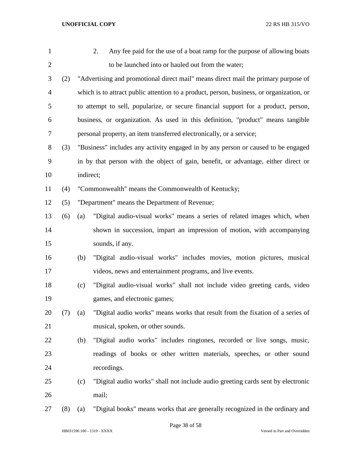| 1              |     |           | Any fee paid for the use of a boat ramp for the purpose of allowing boats<br>2.          |
|----------------|-----|-----------|------------------------------------------------------------------------------------------|
| $\overline{2}$ |     |           | to be launched into or hauled out from the water;                                        |
| 3              | (2) |           | "Advertising and promotional direct mail" means direct mail the primary purpose of       |
| $\overline{4}$ |     |           | which is to attract public attention to a product, person, business, or organization, or |
| 5              |     |           | to attempt to sell, popularize, or secure financial support for a product, person,       |
| 6              |     |           | business, or organization. As used in this definition, "product" means tangible          |
| $\tau$         |     |           | personal property, an item transferred electronically, or a service;                     |
| 8              | (3) |           | "Business" includes any activity engaged in by any person or caused to be engaged        |
| 9              |     |           | in by that person with the object of gain, benefit, or advantage, either direct or       |
| 10             |     | indirect; |                                                                                          |
| 11             | (4) |           | "Commonwealth" means the Commonwealth of Kentucky;                                       |
| 12             | (5) |           | "Department" means the Department of Revenue;                                            |
| 13             | (6) | (a)       | "Digital audio-visual works" means a series of related images which, when                |
| 14             |     |           | shown in succession, impart an impression of motion, with accompanying                   |
| 15             |     |           | sounds, if any.                                                                          |
| 16             |     | (b)       | "Digital audio-visual works" includes movies, motion pictures, musical                   |
| 17             |     |           | videos, news and entertainment programs, and live events.                                |
| 18             |     | (c)       | "Digital audio-visual works" shall not include video greeting cards, video               |
| 19             |     |           | games, and electronic games;                                                             |
| 20             | (7) | (a)       | "Digital audio works" means works that result from the fixation of a series of           |
| 21             |     |           | musical, spoken, or other sounds.                                                        |
| 22             |     | (b)       | "Digital audio works" includes ringtones, recorded or live songs, music,                 |
| 23             |     |           | readings of books or other written materials, speeches, or other sound                   |
| 24             |     |           | recordings.                                                                              |
| 25             |     | (c)       | "Digital audio works" shall not include audio greeting cards sent by electronic          |
| 26             |     |           | mail;                                                                                    |
| 27             | (8) | (a)       | "Digital books" means works that are generally recognized in the ordinary and            |

HB031590.100 - 1319 - XXXX Vetoed in Part and Overridden

Page 38 of 58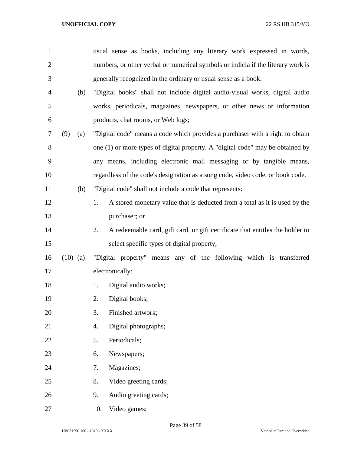| $\mathbf{1}$   |            | usual sense as books, including any literary work expressed in words,               |  |  |  |  |
|----------------|------------|-------------------------------------------------------------------------------------|--|--|--|--|
| $\overline{2}$ |            | numbers, or other verbal or numerical symbols or indicia if the literary work is    |  |  |  |  |
| 3              |            | generally recognized in the ordinary or usual sense as a book.                      |  |  |  |  |
| $\overline{4}$ | (b)        | "Digital books" shall not include digital audio-visual works, digital audio         |  |  |  |  |
| 5              |            | works, periodicals, magazines, newspapers, or other news or information             |  |  |  |  |
| 6              |            | products, chat rooms, or Web logs;                                                  |  |  |  |  |
| 7              | (9)<br>(a) | "Digital code" means a code which provides a purchaser with a right to obtain       |  |  |  |  |
| 8              |            | one (1) or more types of digital property. A "digital code" may be obtained by      |  |  |  |  |
| 9              |            | any means, including electronic mail messaging or by tangible means,                |  |  |  |  |
| 10             |            | regardless of the code's designation as a song code, video code, or book code.      |  |  |  |  |
| 11             | (b)        | "Digital code" shall not include a code that represents:                            |  |  |  |  |
| 12             |            | 1.<br>A stored monetary value that is deducted from a total as it is used by the    |  |  |  |  |
| 13             |            | purchaser; or                                                                       |  |  |  |  |
| 14             |            | 2.<br>A redeemable card, gift card, or gift certificate that entitles the holder to |  |  |  |  |
| 15             |            | select specific types of digital property;                                          |  |  |  |  |
| 16             | $(10)$ (a) | "Digital property" means any of the following which is transferred                  |  |  |  |  |
| 17             |            | electronically:                                                                     |  |  |  |  |
| 18             |            | Digital audio works;<br>1.                                                          |  |  |  |  |
| 19             |            | 2.<br>Digital books;                                                                |  |  |  |  |
| 20             |            | 3.<br>Finished artwork;                                                             |  |  |  |  |
| 21             |            | Digital photographs;<br>4.                                                          |  |  |  |  |
| 22             |            | 5.<br>Periodicals;                                                                  |  |  |  |  |
| 23             |            | Newspapers;<br>6.                                                                   |  |  |  |  |
| 24             |            | 7.<br>Magazines;                                                                    |  |  |  |  |
| 25             |            | 8.<br>Video greeting cards;                                                         |  |  |  |  |
| 26             |            | 9.<br>Audio greeting cards;                                                         |  |  |  |  |
| 27             |            | Video games;<br>10.                                                                 |  |  |  |  |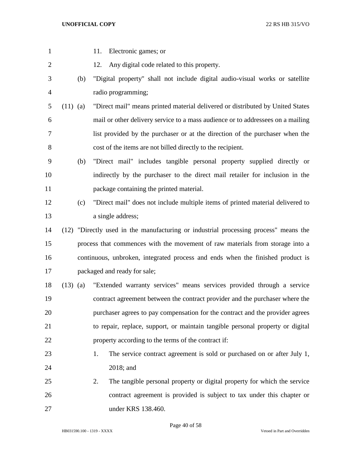| $\mathbf{1}$   |            | 11.<br>Electronic games; or                                                          |
|----------------|------------|--------------------------------------------------------------------------------------|
| $\overline{2}$ |            | Any digital code related to this property.<br>12.                                    |
| 3              | (b)        | "Digital property" shall not include digital audio-visual works or satellite         |
| $\overline{4}$ |            | radio programming;                                                                   |
| 5              | $(11)$ (a) | "Direct mail" means printed material delivered or distributed by United States       |
| 6              |            | mail or other delivery service to a mass audience or to addressees on a mailing      |
| 7              |            | list provided by the purchaser or at the direction of the purchaser when the         |
| 8              |            | cost of the items are not billed directly to the recipient.                          |
| 9              | (b)        | "Direct mail" includes tangible personal property supplied directly or               |
| 10             |            | indirectly by the purchaser to the direct mail retailer for inclusion in the         |
| 11             |            | package containing the printed material.                                             |
| 12             | (c)        | "Direct mail" does not include multiple items of printed material delivered to       |
| 13             |            | a single address;                                                                    |
| 14             |            | (12) "Directly used in the manufacturing or industrial processing process" means the |
| 15             |            | process that commences with the movement of raw materials from storage into a        |
| 16             |            | continuous, unbroken, integrated process and ends when the finished product is       |
| 17             |            | packaged and ready for sale;                                                         |
| 18             | $(13)$ (a) | "Extended warranty services" means services provided through a service               |
| 19             |            | contract agreement between the contract provider and the purchaser where the         |
| 20             |            | purchaser agrees to pay compensation for the contract and the provider agrees        |
| 21             |            | to repair, replace, support, or maintain tangible personal property or digital       |
| 22             |            | property according to the terms of the contract if:                                  |
| 23             |            | The service contract agreement is sold or purchased on or after July 1,<br>1.        |
| 24             |            | 2018; and                                                                            |
| 25             |            | The tangible personal property or digital property for which the service<br>2.       |
| 26             |            | contract agreement is provided is subject to tax under this chapter or               |
| 27             |            | under KRS 138.460.                                                                   |

Page 40 of 58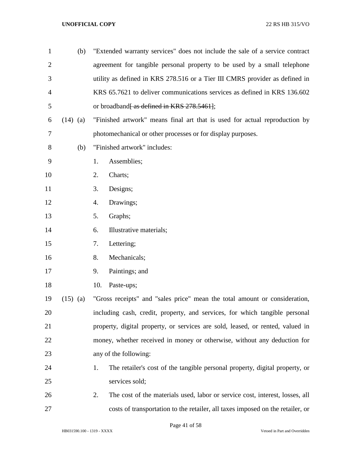| $\mathbf{1}$   | (b)        | "Extended warranty services" does not include the sale of a service contract       |  |  |  |
|----------------|------------|------------------------------------------------------------------------------------|--|--|--|
| $\overline{2}$ |            | agreement for tangible personal property to be used by a small telephone           |  |  |  |
| 3              |            | utility as defined in KRS 278.516 or a Tier III CMRS provider as defined in        |  |  |  |
| $\overline{4}$ |            | KRS 65.7621 to deliver communications services as defined in KRS 136.602           |  |  |  |
| 5              |            | or broadband <del>[ as defined in KRS 278.5461]</del> ;                            |  |  |  |
| 6              | $(14)$ (a) | "Finished artwork" means final art that is used for actual reproduction by         |  |  |  |
| 7              |            | photomechanical or other processes or for display purposes.                        |  |  |  |
| 8              | (b)        | "Finished artwork" includes:                                                       |  |  |  |
| 9              |            | 1.<br>Assemblies;                                                                  |  |  |  |
| 10             |            | 2.<br>Charts;                                                                      |  |  |  |
| 11             |            | Designs;<br>3.                                                                     |  |  |  |
| 12             |            | 4.<br>Drawings;                                                                    |  |  |  |
| 13             |            | 5.<br>Graphs;                                                                      |  |  |  |
| 14             |            | Illustrative materials;<br>6.                                                      |  |  |  |
| 15             |            | Lettering;<br>7.                                                                   |  |  |  |
| 16             |            | Mechanicals;<br>8.                                                                 |  |  |  |
| 17             |            | Paintings; and<br>9.                                                               |  |  |  |
| 18             |            | 10.<br>Paste-ups;                                                                  |  |  |  |
| 19             | $(15)$ (a) | "Gross receipts" and "sales price" mean the total amount or consideration,         |  |  |  |
| 20             |            | including cash, credit, property, and services, for which tangible personal        |  |  |  |
| 21             |            | property, digital property, or services are sold, leased, or rented, valued in     |  |  |  |
| 22             |            | money, whether received in money or otherwise, without any deduction for           |  |  |  |
| 23             |            | any of the following:                                                              |  |  |  |
| 24             |            | The retailer's cost of the tangible personal property, digital property, or<br>1.  |  |  |  |
| 25             |            | services sold;                                                                     |  |  |  |
| 26             |            | 2.<br>The cost of the materials used, labor or service cost, interest, losses, all |  |  |  |
| 27             |            | costs of transportation to the retailer, all taxes imposed on the retailer, or     |  |  |  |

Page 41 of 58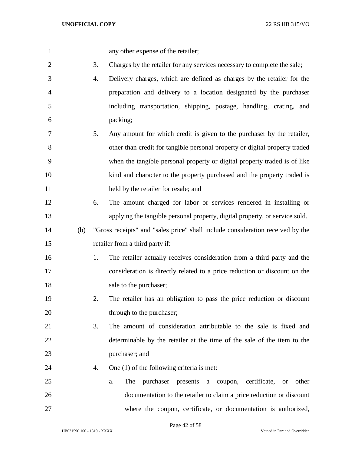any other expense of the retailer;

- 3. Charges by the retailer for any services necessary to complete the sale;
- 4. Delivery charges, which are defined as charges by the retailer for the preparation and delivery to a location designated by the purchaser including transportation, shipping, postage, handling, crating, and packing;
- 5. Any amount for which credit is given to the purchaser by the retailer, other than credit for tangible personal property or digital property traded when the tangible personal property or digital property traded is of like kind and character to the property purchased and the property traded is 11 held by the retailer for resale; and
- 6. The amount charged for labor or services rendered in installing or applying the tangible personal property, digital property, or service sold.
- (b) "Gross receipts" and "sales price" shall include consideration received by the retailer from a third party if:
- 1. The retailer actually receives consideration from a third party and the consideration is directly related to a price reduction or discount on the 18 sale to the purchaser;
- 2. The retailer has an obligation to pass the price reduction or discount 20 through to the purchaser;
- 3. The amount of consideration attributable to the sale is fixed and determinable by the retailer at the time of the sale of the item to the purchaser; and
- 24 4. One (1) of the following criteria is met:
- a. The purchaser presents a coupon, certificate, or other documentation to the retailer to claim a price reduction or discount where the coupon, certificate, or documentation is authorized,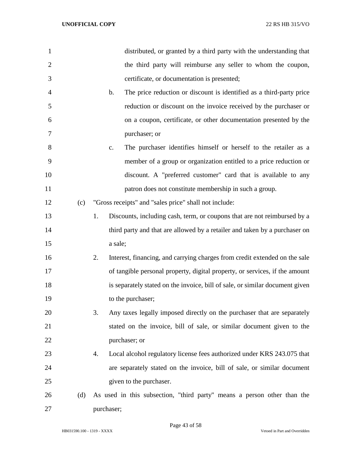| $\mathbf{1}$   |     | distributed, or granted by a third party with the understanding that                   |
|----------------|-----|----------------------------------------------------------------------------------------|
| $\overline{2}$ |     | the third party will reimburse any seller to whom the coupon,                          |
| 3              |     | certificate, or documentation is presented;                                            |
| $\overline{4}$ |     | The price reduction or discount is identified as a third-party price<br>$\mathbf{b}$ . |
| 5              |     | reduction or discount on the invoice received by the purchaser or                      |
| 6              |     | on a coupon, certificate, or other documentation presented by the                      |
| 7              |     | purchaser; or                                                                          |
| 8              |     | The purchaser identifies himself or herself to the retailer as a<br>$C_{\bullet}$      |
| 9              |     | member of a group or organization entitled to a price reduction or                     |
| 10             |     | discount. A "preferred customer" card that is available to any                         |
| 11             |     | patron does not constitute membership in such a group.                                 |
| 12             | (c) | "Gross receipts" and "sales price" shall not include:                                  |
| 13             |     | Discounts, including cash, term, or coupons that are not reimbursed by a<br>1.         |
| 14             |     | third party and that are allowed by a retailer and taken by a purchaser on             |
| 15             |     | a sale;                                                                                |
| 16             |     | 2.<br>Interest, financing, and carrying charges from credit extended on the sale       |
| 17             |     | of tangible personal property, digital property, or services, if the amount            |
| 18             |     | is separately stated on the invoice, bill of sale, or similar document given           |
| 19             |     | to the purchaser;                                                                      |
| 20             |     | 3.<br>Any taxes legally imposed directly on the purchaser that are separately          |
| 21             |     | stated on the invoice, bill of sale, or similar document given to the                  |
| 22             |     | purchaser; or                                                                          |
| 23             |     | Local alcohol regulatory license fees authorized under KRS 243.075 that<br>4.          |
| 24             |     | are separately stated on the invoice, bill of sale, or similar document                |
| 25             |     | given to the purchaser.                                                                |
| 26             | (d) | As used in this subsection, "third party" means a person other than the                |
| 27             |     | purchaser;                                                                             |

Page 43 of 58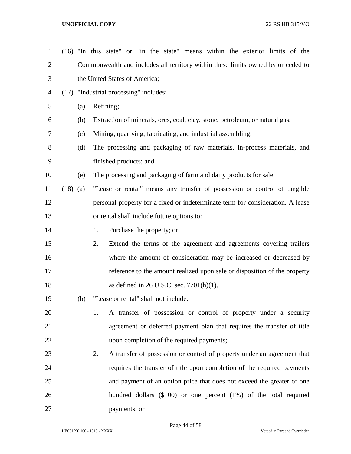| $\mathbf{1}$   |            |     |                               | (16) "In this state" or "in the state" means within the exterior limits of the   |  |  |  |  |
|----------------|------------|-----|-------------------------------|----------------------------------------------------------------------------------|--|--|--|--|
| $\overline{2}$ |            |     |                               | Commonwealth and includes all territory within these limits owned by or ceded to |  |  |  |  |
| 3              |            |     | the United States of America; |                                                                                  |  |  |  |  |
| 4              |            |     |                               | (17) "Industrial processing" includes:                                           |  |  |  |  |
| 5              |            | (a) |                               | Refining;                                                                        |  |  |  |  |
| 6              |            | (b) |                               | Extraction of minerals, ores, coal, clay, stone, petroleum, or natural gas;      |  |  |  |  |
| 7              |            | (c) |                               | Mining, quarrying, fabricating, and industrial assembling;                       |  |  |  |  |
| 8              |            | (d) |                               | The processing and packaging of raw materials, in-process materials, and         |  |  |  |  |
| 9              |            |     |                               | finished products; and                                                           |  |  |  |  |
| 10             |            | (e) |                               | The processing and packaging of farm and dairy products for sale;                |  |  |  |  |
| 11             | $(18)$ (a) |     |                               | "Lease or rental" means any transfer of possession or control of tangible        |  |  |  |  |
| 12             |            |     |                               | personal property for a fixed or indeterminate term for consideration. A lease   |  |  |  |  |
| 13             |            |     |                               | or rental shall include future options to:                                       |  |  |  |  |
| 14             |            |     | 1.                            | Purchase the property; or                                                        |  |  |  |  |
| 15             |            |     | 2.                            | Extend the terms of the agreement and agreements covering trailers               |  |  |  |  |
| 16             |            |     |                               | where the amount of consideration may be increased or decreased by               |  |  |  |  |
| 17             |            |     |                               | reference to the amount realized upon sale or disposition of the property        |  |  |  |  |
| 18             |            |     |                               | as defined in 26 U.S.C. sec. $7701(h)(1)$ .                                      |  |  |  |  |
| 19             |            | (b) |                               | "Lease or rental" shall not include:                                             |  |  |  |  |
| 20             |            |     | 1.                            | A transfer of possession or control of property under a security                 |  |  |  |  |
| 21             |            |     |                               | agreement or deferred payment plan that requires the transfer of title           |  |  |  |  |
| 22             |            |     |                               | upon completion of the required payments;                                        |  |  |  |  |
| 23             |            |     | 2.                            | A transfer of possession or control of property under an agreement that          |  |  |  |  |
| 24             |            |     |                               | requires the transfer of title upon completion of the required payments          |  |  |  |  |
| 25             |            |     |                               | and payment of an option price that does not exceed the greater of one           |  |  |  |  |
| 26             |            |     |                               | hundred dollars $(\$100)$ or one percent $(1%)$ of the total required            |  |  |  |  |
| 27             |            |     |                               | payments; or                                                                     |  |  |  |  |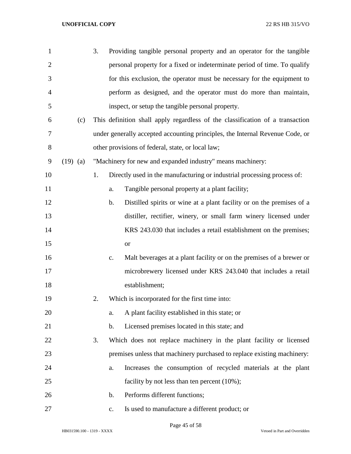| $\mathbf{1}$   |            | 3. |                | Providing tangible personal property and an operator for the tangible         |
|----------------|------------|----|----------------|-------------------------------------------------------------------------------|
| $\overline{2}$ |            |    |                | personal property for a fixed or indeterminate period of time. To qualify     |
| 3              |            |    |                | for this exclusion, the operator must be necessary for the equipment to       |
| 4              |            |    |                | perform as designed, and the operator must do more than maintain,             |
| 5              |            |    |                | inspect, or setup the tangible personal property.                             |
| 6              | (c)        |    |                | This definition shall apply regardless of the classification of a transaction |
| 7              |            |    |                | under generally accepted accounting principles, the Internal Revenue Code, or |
| 8              |            |    |                | other provisions of federal, state, or local law;                             |
| 9              | $(19)$ (a) |    |                | "Machinery for new and expanded industry" means machinery:                    |
| 10             |            | 1. |                | Directly used in the manufacturing or industrial processing process of:       |
| 11             |            |    | a.             | Tangible personal property at a plant facility;                               |
| 12             |            |    | b.             | Distilled spirits or wine at a plant facility or on the premises of a         |
| 13             |            |    |                | distiller, rectifier, winery, or small farm winery licensed under             |
| 14             |            |    |                | KRS 243.030 that includes a retail establishment on the premises;             |
| 15             |            |    |                | or                                                                            |
| 16             |            |    | $\mathbf{c}$ . | Malt beverages at a plant facility or on the premises of a brewer or          |
| 17             |            |    |                | microbrewery licensed under KRS 243.040 that includes a retail                |
| 18             |            |    |                | establishment;                                                                |
| 19             |            | 2. |                | Which is incorporated for the first time into:                                |
| 20             |            |    | a.             | A plant facility established in this state; or                                |
| 21             |            |    | b.             | Licensed premises located in this state; and                                  |
| 22             |            | 3. |                | Which does not replace machinery in the plant facility or licensed            |
| 23             |            |    |                | premises unless that machinery purchased to replace existing machinery:       |
| 24             |            |    | a.             | Increases the consumption of recycled materials at the plant                  |
| 25             |            |    |                | facility by not less than ten percent (10%);                                  |
| 26             |            |    | $\mathbf b$ .  | Performs different functions;                                                 |
| 27             |            |    | $\mathbf{c}$ . | Is used to manufacture a different product; or                                |

Page 45 of 58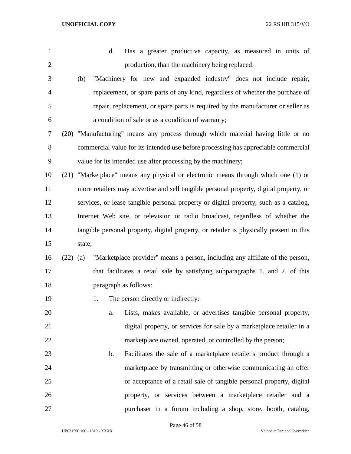| $\mathbf{1}$   |            | Has a greater productive capacity, as measured in units of<br>d.                        |
|----------------|------------|-----------------------------------------------------------------------------------------|
| $\overline{2}$ |            | production, than the machinery being replaced.                                          |
| 3              |            | "Machinery for new and expanded industry" does not include repair,<br>(b)               |
| $\overline{4}$ |            | replacement, or spare parts of any kind, regardless of whether the purchase of          |
| 5              |            | repair, replacement, or spare parts is required by the manufacturer or seller as        |
| 6              |            | a condition of sale or as a condition of warranty;                                      |
| 7              |            | (20) "Manufacturing" means any process through which material having little or no       |
| 8              |            | commercial value for its intended use before processing has appreciable commercial      |
| 9              |            | value for its intended use after processing by the machinery;                           |
| 10             |            | (21) "Marketplace" means any physical or electronic means through which one (1) or      |
| 11             |            | more retailers may advertise and sell tangible personal property, digital property, or  |
| 12             |            | services, or lease tangible personal property or digital property, such as a catalog,   |
| 13             |            | Internet Web site, or television or radio broadcast, regardless of whether the          |
| 14             |            | tangible personal property, digital property, or retailer is physically present in this |
| 15             |            | state;                                                                                  |
| 16             | $(22)$ (a) | "Marketplace provider" means a person, including any affiliate of the person,           |
| 17             |            | that facilitates a retail sale by satisfying subparagraphs 1. and 2. of this            |
| 18             |            | paragraph as follows:                                                                   |
| 19             |            | The person directly or indirectly:<br>1.                                                |
| 20             |            | Lists, makes available, or advertises tangible personal property,<br>a.                 |
| 21             |            | digital property, or services for sale by a marketplace retailer in a                   |
| 22             |            | marketplace owned, operated, or controlled by the person;                               |
| 23             |            | Facilitates the sale of a marketplace retailer's product through a<br>$\mathbf{b}$ .    |
| 24             |            | marketplace by transmitting or otherwise communicating an offer                         |
| 25             |            | or acceptance of a retail sale of tangible personal property, digital                   |
| 26             |            | property, or services between a marketplace retailer and a                              |
| 27             |            | purchaser in a forum including a shop, store, booth, catalog,                           |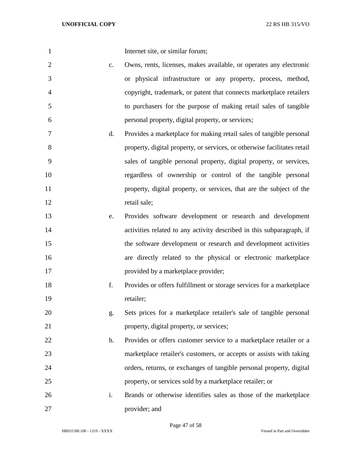| $\mathbf{1}$   |               | Internet site, or similar forum;                                         |
|----------------|---------------|--------------------------------------------------------------------------|
| $\overline{2}$ | $C_{\bullet}$ | Owns, rents, licenses, makes available, or operates any electronic       |
| 3              |               | or physical infrastructure or any property, process, method,             |
| 4              |               | copyright, trademark, or patent that connects marketplace retailers      |
| 5              |               | to purchasers for the purpose of making retail sales of tangible         |
| 6              |               | personal property, digital property, or services;                        |
| 7              | d.            | Provides a marketplace for making retail sales of tangible personal      |
| 8              |               | property, digital property, or services, or otherwise facilitates retail |
| 9              |               | sales of tangible personal property, digital property, or services,      |
| 10             |               | regardless of ownership or control of the tangible personal              |
| 11             |               | property, digital property, or services, that are the subject of the     |
| 12             |               | retail sale;                                                             |
| 13             | e.            | Provides software development or research and development                |
| 14             |               | activities related to any activity described in this subparagraph, if    |
| 15             |               | the software development or research and development activities          |
| 16             |               | are directly related to the physical or electronic marketplace           |
| 17             |               | provided by a marketplace provider;                                      |
| 18             | f.            | Provides or offers fulfillment or storage services for a marketplace     |
| 19             |               | retailer;                                                                |
| 20             | g.            | Sets prices for a marketplace retailer's sale of tangible personal       |
| 21             |               | property, digital property, or services;                                 |
| 22             | h.            | Provides or offers customer service to a marketplace retailer or a       |
| 23             |               | marketplace retailer's customers, or accepts or assists with taking      |
| 24             |               | orders, returns, or exchanges of tangible personal property, digital     |
| 25             |               | property, or services sold by a marketplace retailer; or                 |
| 26             | i.            | Brands or otherwise identifies sales as those of the marketplace         |
| 27             |               | provider; and                                                            |

Page 47 of 58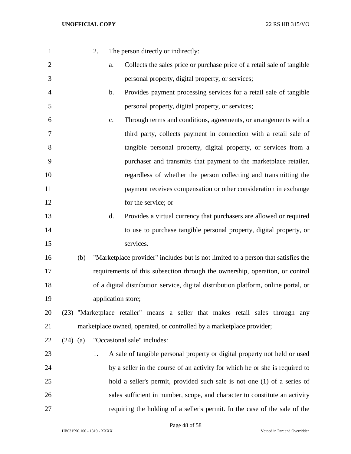| $\mathbf{1}$   |            | 2. |               | The person directly or indirectly:                                                  |
|----------------|------------|----|---------------|-------------------------------------------------------------------------------------|
| $\overline{2}$ |            |    | a.            | Collects the sales price or purchase price of a retail sale of tangible             |
| 3              |            |    |               | personal property, digital property, or services;                                   |
| 4              |            |    | b.            | Provides payment processing services for a retail sale of tangible                  |
| 5              |            |    |               | personal property, digital property, or services;                                   |
| 6              |            |    | $C_{\bullet}$ | Through terms and conditions, agreements, or arrangements with a                    |
| 7              |            |    |               | third party, collects payment in connection with a retail sale of                   |
| 8              |            |    |               | tangible personal property, digital property, or services from a                    |
| 9              |            |    |               | purchaser and transmits that payment to the marketplace retailer,                   |
| 10             |            |    |               | regardless of whether the person collecting and transmitting the                    |
| 11             |            |    |               | payment receives compensation or other consideration in exchange                    |
| 12             |            |    |               | for the service; or                                                                 |
| 13             |            |    | d.            | Provides a virtual currency that purchasers are allowed or required                 |
| 14             |            |    |               | to use to purchase tangible personal property, digital property, or                 |
| 15             |            |    |               | services.                                                                           |
| 16             | (b)        |    |               | "Marketplace provider" includes but is not limited to a person that satisfies the   |
| 17             |            |    |               | requirements of this subsection through the ownership, operation, or control        |
| 18             |            |    |               | of a digital distribution service, digital distribution platform, online portal, or |
| 19             |            |    |               | application store;                                                                  |
| 20             |            |    |               | (23) "Marketplace retailer" means a seller that makes retail sales through any      |
| 21             |            |    |               | marketplace owned, operated, or controlled by a marketplace provider;               |
| 22             | $(24)$ (a) |    |               | "Occasional sale" includes:                                                         |
| 23             |            | 1. |               | A sale of tangible personal property or digital property not held or used           |
| 24             |            |    |               | by a seller in the course of an activity for which he or she is required to         |
| 25             |            |    |               | hold a seller's permit, provided such sale is not one (1) of a series of            |
| 26             |            |    |               | sales sufficient in number, scope, and character to constitute an activity          |
| 27             |            |    |               | requiring the holding of a seller's permit. In the case of the sale of the          |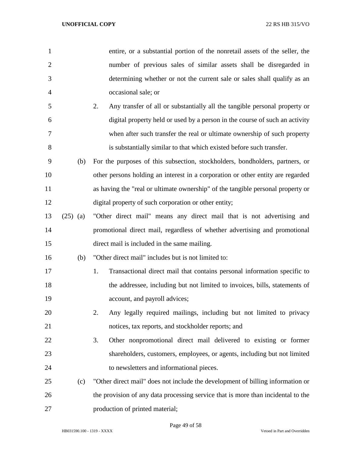| $\mathbf{1}$   |            | entire, or a substantial portion of the nonretail assets of the seller, the      |
|----------------|------------|----------------------------------------------------------------------------------|
| $\overline{2}$ |            | number of previous sales of similar assets shall be disregarded in               |
| 3              |            | determining whether or not the current sale or sales shall qualify as an         |
| 4              |            | occasional sale; or                                                              |
| 5              |            | Any transfer of all or substantially all the tangible personal property or<br>2. |
| 6              |            | digital property held or used by a person in the course of such an activity      |
| 7              |            | when after such transfer the real or ultimate ownership of such property         |
| 8              |            | is substantially similar to that which existed before such transfer.             |
| 9              | (b)        | For the purposes of this subsection, stockholders, bondholders, partners, or     |
| 10             |            | other persons holding an interest in a corporation or other entity are regarded  |
| 11             |            | as having the "real or ultimate ownership" of the tangible personal property or  |
| 12             |            | digital property of such corporation or other entity;                            |
| 13             | $(25)$ (a) | "Other direct mail" means any direct mail that is not advertising and            |
| 14             |            | promotional direct mail, regardless of whether advertising and promotional       |
| 15             |            | direct mail is included in the same mailing.                                     |
| 16             | (b)        | "Other direct mail" includes but is not limited to:                              |
| 17             |            | Transactional direct mail that contains personal information specific to<br>1.   |
| 18             |            | the addressee, including but not limited to invoices, bills, statements of       |
| 19             |            | account, and payroll advices;                                                    |
| 20             |            | Any legally required mailings, including but not limited to privacy<br>2.        |
| 21             |            | notices, tax reports, and stockholder reports; and                               |
| 22             |            | 3.<br>Other nonpromotional direct mail delivered to existing or former           |
| 23             |            | shareholders, customers, employees, or agents, including but not limited         |
| 24             |            | to newsletters and informational pieces.                                         |
| 25             | (c)        | "Other direct mail" does not include the development of billing information or   |
| 26             |            | the provision of any data processing service that is more than incidental to the |
| 27             |            | production of printed material;                                                  |

Page 49 of 58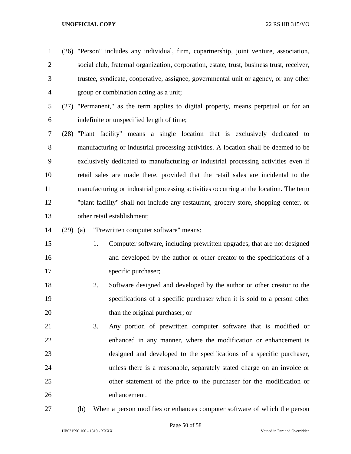- (26) "Person" includes any individual, firm, copartnership, joint venture, association, social club, fraternal organization, corporation, estate, trust, business trust, receiver, trustee, syndicate, cooperative, assignee, governmental unit or agency, or any other group or combination acting as a unit;
- (27) "Permanent," as the term applies to digital property, means perpetual or for an indefinite or unspecified length of time;
- (28) "Plant facility" means a single location that is exclusively dedicated to manufacturing or industrial processing activities. A location shall be deemed to be exclusively dedicated to manufacturing or industrial processing activities even if retail sales are made there, provided that the retail sales are incidental to the manufacturing or industrial processing activities occurring at the location. The term "plant facility" shall not include any restaurant, grocery store, shopping center, or other retail establishment;
- (29) (a) "Prewritten computer software" means:
- 1. Computer software, including prewritten upgrades, that are not designed and developed by the author or other creator to the specifications of a 17 specific purchaser;
- 2. Software designed and developed by the author or other creator to the specifications of a specific purchaser when it is sold to a person other than the original purchaser; or
- 3. Any portion of prewritten computer software that is modified or enhanced in any manner, where the modification or enhancement is designed and developed to the specifications of a specific purchaser, unless there is a reasonable, separately stated charge on an invoice or other statement of the price to the purchaser for the modification or enhancement.
- 
- (b) When a person modifies or enhances computer software of which the person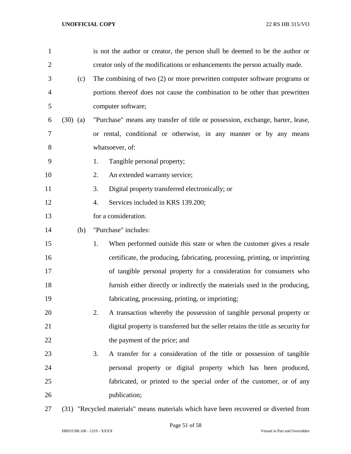| $\mathbf{1}$   |            | is not the author or creator, the person shall be deemed to be the author or         |  |  |
|----------------|------------|--------------------------------------------------------------------------------------|--|--|
| $\overline{2}$ |            | creator only of the modifications or enhancements the person actually made.          |  |  |
| 3              | (c)        | The combining of two (2) or more prewritten computer software programs or            |  |  |
| $\overline{4}$ |            | portions thereof does not cause the combination to be other than prewritten          |  |  |
| 5              |            | computer software;                                                                   |  |  |
| 6              | $(30)$ (a) | "Purchase" means any transfer of title or possession, exchange, barter, lease,       |  |  |
| 7              |            | or rental, conditional or otherwise, in any manner or by any means                   |  |  |
| 8              |            | whatsoever, of:                                                                      |  |  |
| 9              |            | Tangible personal property;<br>1.                                                    |  |  |
| 10             |            | An extended warranty service;<br>2.                                                  |  |  |
| 11             |            | Digital property transferred electronically; or<br>3.                                |  |  |
| 12             |            | Services included in KRS 139.200;<br>4.                                              |  |  |
| 13             |            | for a consideration.                                                                 |  |  |
| 14             | (b)        | "Purchase" includes:                                                                 |  |  |
| 15             |            | When performed outside this state or when the customer gives a resale<br>1.          |  |  |
| 16             |            | certificate, the producing, fabricating, processing, printing, or imprinting         |  |  |
| 17             |            | of tangible personal property for a consideration for consumers who                  |  |  |
| 18             |            | furnish either directly or indirectly the materials used in the producing,           |  |  |
| 19             |            | fabricating, processing, printing, or imprinting;                                    |  |  |
| 20             |            | 2.<br>A transaction whereby the possession of tangible personal property or          |  |  |
| 21             |            | digital property is transferred but the seller retains the title as security for     |  |  |
| 22             |            | the payment of the price; and                                                        |  |  |
| 23             |            | A transfer for a consideration of the title or possession of tangible<br>3.          |  |  |
| 24             |            | personal property or digital property which has been produced,                       |  |  |
| 25             |            | fabricated, or printed to the special order of the customer, or of any               |  |  |
| 26             |            | publication;                                                                         |  |  |
| 27             |            | (31) "Recycled materials" means materials which have been recovered or diverted from |  |  |

HB031590.100 - 1319 - XXXX Vetoed in Part and Overridden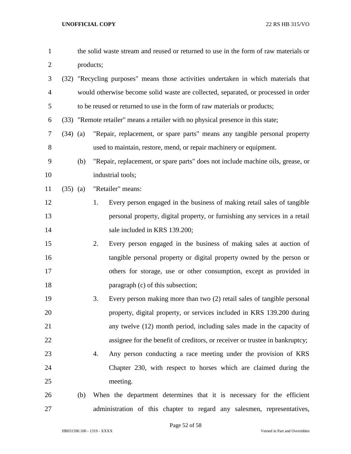| $\mathbf{1}$   |            |           | the solid waste stream and reused or returned to use in the form of raw materials or |
|----------------|------------|-----------|--------------------------------------------------------------------------------------|
| $\overline{2}$ |            | products; |                                                                                      |
| 3              |            |           | (32) "Recycling purposes" means those activities undertaken in which materials that  |
| $\overline{4}$ |            |           | would otherwise become solid waste are collected, separated, or processed in order   |
| 5              |            |           | to be reused or returned to use in the form of raw materials or products;            |
| 6              |            |           | (33) "Remote retailer" means a retailer with no physical presence in this state;     |
| $\tau$         | $(34)$ (a) |           | "Repair, replacement, or spare parts" means any tangible personal property           |
| 8              |            |           | used to maintain, restore, mend, or repair machinery or equipment.                   |
| 9              |            | (b)       | "Repair, replacement, or spare parts" does not include machine oils, grease, or      |
| 10             |            |           | industrial tools;                                                                    |
| 11             | $(35)$ (a) |           | "Retailer" means:                                                                    |
| 12             |            |           | Every person engaged in the business of making retail sales of tangible<br>1.        |
| 13             |            |           | personal property, digital property, or furnishing any services in a retail          |
| 14             |            |           | sale included in KRS 139.200;                                                        |
| 15             |            |           | Every person engaged in the business of making sales at auction of<br>2.             |
| 16             |            |           | tangible personal property or digital property owned by the person or                |
| 17             |            |           | others for storage, use or other consumption, except as provided in                  |
| 18             |            |           | paragraph (c) of this subsection;                                                    |
| 19             |            |           | 3.<br>Every person making more than two (2) retail sales of tangible personal        |
| 20             |            |           | property, digital property, or services included in KRS 139.200 during               |
| 21             |            |           | any twelve (12) month period, including sales made in the capacity of                |
| 22             |            |           | assignee for the benefit of creditors, or receiver or trustee in bankruptcy;         |
| 23             |            |           | Any person conducting a race meeting under the provision of KRS<br>4.                |
| 24             |            |           | Chapter 230, with respect to horses which are claimed during the                     |
| 25             |            |           | meeting.                                                                             |
| 26             |            | (b)       | When the department determines that it is necessary for the efficient                |
| 27             |            |           | administration of this chapter to regard any salesmen, representatives,              |

HB031590.100 - 1319 - XXXX Vetoed in Part and Overridden

Page 52 of 58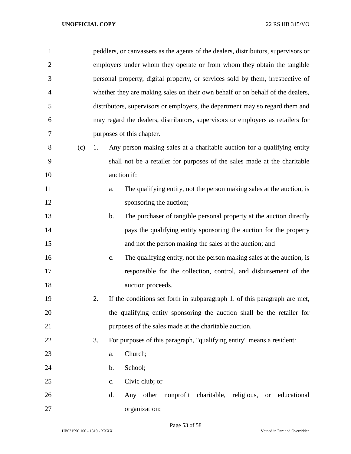| $\mathbf{1}$   |     |    |               | peddlers, or canvassers as the agents of the dealers, distributors, supervisors or |
|----------------|-----|----|---------------|------------------------------------------------------------------------------------|
| $\overline{2}$ |     |    |               | employers under whom they operate or from whom they obtain the tangible            |
| 3              |     |    |               | personal property, digital property, or services sold by them, irrespective of     |
| 4              |     |    |               | whether they are making sales on their own behalf or on behalf of the dealers,     |
| 5              |     |    |               | distributors, supervisors or employers, the department may so regard them and      |
| 6              |     |    |               | may regard the dealers, distributors, supervisors or employers as retailers for    |
| 7              |     |    |               | purposes of this chapter.                                                          |
| 8              | (c) | 1. |               | Any person making sales at a charitable auction for a qualifying entity            |
| 9              |     |    |               | shall not be a retailer for purposes of the sales made at the charitable           |
| 10             |     |    |               | auction if:                                                                        |
| 11             |     |    | a.            | The qualifying entity, not the person making sales at the auction, is              |
| 12             |     |    |               | sponsoring the auction;                                                            |
| 13             |     |    | $\mathbf b$ . | The purchaser of tangible personal property at the auction directly                |
| 14             |     |    |               | pays the qualifying entity sponsoring the auction for the property                 |
| 15             |     |    |               | and not the person making the sales at the auction; and                            |
| 16             |     |    | c.            | The qualifying entity, not the person making sales at the auction, is              |
| 17             |     |    |               | responsible for the collection, control, and disbursement of the                   |
| 18             |     |    |               | auction proceeds.                                                                  |
| 19             |     | 2. |               | If the conditions set forth in subparagraph 1. of this paragraph are met,          |
| 20             |     |    |               | the qualifying entity sponsoring the auction shall be the retailer for             |
| 21             |     |    |               | purposes of the sales made at the charitable auction.                              |
| 22             |     | 3. |               | For purposes of this paragraph, "qualifying entity" means a resident:              |
| 23             |     |    | a.            | Church;                                                                            |
| 24             |     |    | b.            | School;                                                                            |
| 25             |     |    | $C_{\bullet}$ | Civic club; or                                                                     |
| 26             |     |    | d.            | Any other nonprofit charitable, religious, or educational                          |
| 27             |     |    |               | organization;                                                                      |

Page 53 of 58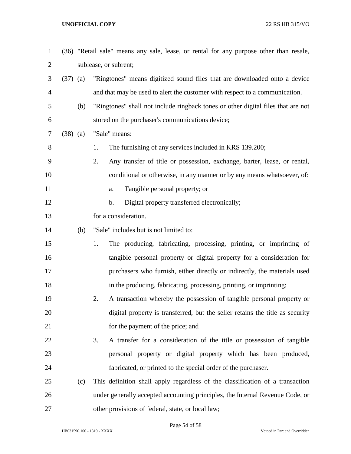| $\mathbf{1}$   |            |     | (36) "Retail sale" means any sale, lease, or rental for any purpose other than resale, |
|----------------|------------|-----|----------------------------------------------------------------------------------------|
| $\overline{2}$ |            |     | sublease, or subrent;                                                                  |
| 3              | $(37)$ (a) |     | "Ringtones" means digitized sound files that are downloaded onto a device              |
| $\overline{4}$ |            |     | and that may be used to alert the customer with respect to a communication.            |
| 5              |            | (b) | "Ringtones" shall not include ringback tones or other digital files that are not       |
| 6              |            |     | stored on the purchaser's communications device;                                       |
| 7              | $(38)$ (a) |     | "Sale" means:                                                                          |
| 8              |            |     | The furnishing of any services included in KRS 139.200;<br>1.                          |
| 9              |            |     | 2.<br>Any transfer of title or possession, exchange, barter, lease, or rental,         |
| 10             |            |     | conditional or otherwise, in any manner or by any means whatsoever, of:                |
| 11             |            |     | Tangible personal property; or<br>a.                                                   |
| 12             |            |     | Digital property transferred electronically;<br>b.                                     |
| 13             |            |     | for a consideration.                                                                   |
| 14             |            | (b) | "Sale" includes but is not limited to:                                                 |
| 15             |            |     | The producing, fabricating, processing, printing, or imprinting of<br>1.               |
| 16             |            |     | tangible personal property or digital property for a consideration for                 |
| 17             |            |     | purchasers who furnish, either directly or indirectly, the materials used              |
| 18             |            |     | in the producing, fabricating, processing, printing, or imprinting;                    |
| 19             |            |     | A transaction whereby the possession of tangible personal property or<br>2.            |
| 20             |            |     | digital property is transferred, but the seller retains the title as security          |
| 21             |            |     | for the payment of the price; and                                                      |
| 22             |            |     | A transfer for a consideration of the title or possession of tangible<br>3.            |
| 23             |            |     | personal property or digital property which has been produced,                         |
| 24             |            |     | fabricated, or printed to the special order of the purchaser.                          |
| 25             |            | (c) | This definition shall apply regardless of the classification of a transaction          |
| 26             |            |     | under generally accepted accounting principles, the Internal Revenue Code, or          |
| 27             |            |     | other provisions of federal, state, or local law;                                      |

Page 54 of 58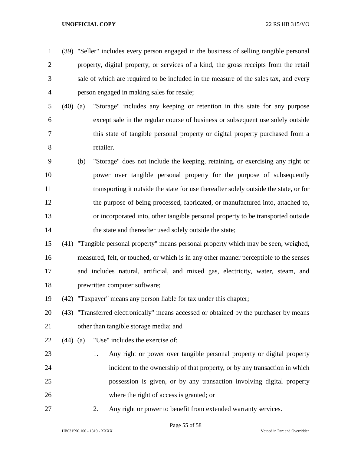- (39) "Seller" includes every person engaged in the business of selling tangible personal property, digital property, or services of a kind, the gross receipts from the retail sale of which are required to be included in the measure of the sales tax, and every person engaged in making sales for resale;
- (40) (a) "Storage" includes any keeping or retention in this state for any purpose except sale in the regular course of business or subsequent use solely outside this state of tangible personal property or digital property purchased from a retailer.
- (b) "Storage" does not include the keeping, retaining, or exercising any right or power over tangible personal property for the purpose of subsequently transporting it outside the state for use thereafter solely outside the state, or for the purpose of being processed, fabricated, or manufactured into, attached to, or incorporated into, other tangible personal property to be transported outside 14 the state and thereafter used solely outside the state;
- (41) "Tangible personal property" means personal property which may be seen, weighed, measured, felt, or touched, or which is in any other manner perceptible to the senses and includes natural, artificial, and mixed gas, electricity, water, steam, and prewritten computer software;
- (42) "Taxpayer" means any person liable for tax under this chapter;

 (43) "Transferred electronically" means accessed or obtained by the purchaser by means other than tangible storage media; and

- (44) (a) "Use" includes the exercise of:
- 1. Any right or power over tangible personal property or digital property incident to the ownership of that property, or by any transaction in which possession is given, or by any transaction involving digital property where the right of access is granted; or
- 

2. Any right or power to benefit from extended warranty services.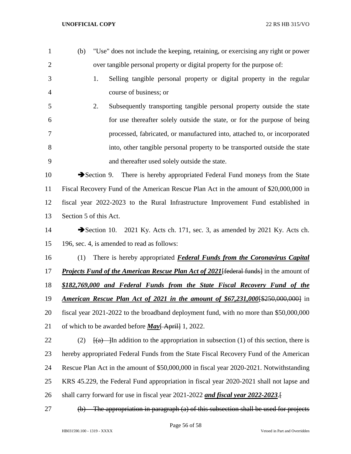| $\mathbf{1}$   | (b)      | "Use" does not include the keeping, retaining, or exercising any right or power                  |
|----------------|----------|--------------------------------------------------------------------------------------------------|
| $\overline{2}$ |          | over tangible personal property or digital property for the purpose of:                          |
| 3              |          | Selling tangible personal property or digital property in the regular<br>1.                      |
| $\overline{4}$ |          | course of business; or                                                                           |
| 5              |          | Subsequently transporting tangible personal property outside the state<br>2.                     |
| 6              |          | for use thereafter solely outside the state, or for the purpose of being                         |
| 7              |          | processed, fabricated, or manufactured into, attached to, or incorporated                        |
| 8              |          | into, other tangible personal property to be transported outside the state                       |
| 9              |          | and thereafter used solely outside the state.                                                    |
| 10             |          | There is hereby appropriated Federal Fund moneys from the State<br>$\rightarrow$ Section 9.      |
| 11             |          | Fiscal Recovery Fund of the American Rescue Plan Act in the amount of \$20,000,000 in            |
| 12             |          | fiscal year 2022-2023 to the Rural Infrastructure Improvement Fund established in                |
| 13             |          | Section 5 of this Act.                                                                           |
| 14             |          | Section 10. 2021 Ky. Acts ch. 171, sec. 3, as amended by 2021 Ky. Acts ch.                       |
| 15             |          | 196, sec. 4, is amended to read as follows:                                                      |
| 16             | (1)      | There is hereby appropriated <b>Federal Funds from the Coronavirus Capital</b>                   |
| 17             |          | <b>Projects Fund of the American Rescue Plan Act of 2021</b> [federal funds] in the amount of    |
| 18             |          | \$182,769,000 and Federal Funds from the State Fiscal Recovery Fund of the                       |
| 19             |          | American Rescue Plan Act of 2021 in the amount of \$67,231,000 [\$250,000,000] in                |
| 20             |          | fiscal year 2021-2022 to the broadband deployment fund, with no more than \$50,000,000           |
| 21             |          | of which to be awarded before <i>May</i> [April] 1, 2022.                                        |
| 22             | (2)      | $\frac{f(a)}{g(a)}$ In addition to the appropriation in subsection (1) of this section, there is |
| 23             |          | hereby appropriated Federal Funds from the State Fiscal Recovery Fund of the American            |
| 24             |          | Rescue Plan Act in the amount of \$50,000,000 in fiscal year 2020-2021. Notwithstanding          |
| 25             |          | KRS 45.229, the Federal Fund appropriation in fiscal year 2020-2021 shall not lapse and          |
| 26             |          | shall carry forward for use in fiscal year 2021-2022 and fiscal year 2022-2023.                  |
| 27             | $\Theta$ | The appropriation in paragraph (a) of this subsection shall be used for projects                 |

Page 56 of 58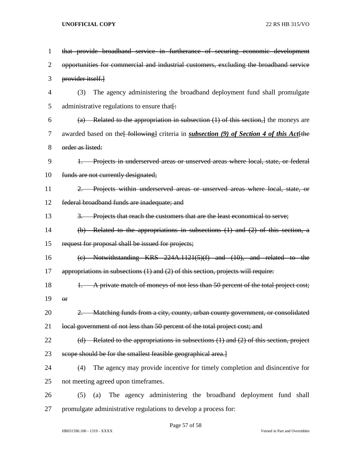| 1              | that provide broadband service in furtherance of securing economic development                   |  |  |  |  |
|----------------|--------------------------------------------------------------------------------------------------|--|--|--|--|
| $\overline{2}$ | opportunities for commercial and industrial customers, excluding the broadband service           |  |  |  |  |
| 3              | provider itself.                                                                                 |  |  |  |  |
| $\overline{4}$ | The agency administering the broadband deployment fund shall promulgate<br>(3)                   |  |  |  |  |
| 5              | administrative regulations to ensure that.                                                       |  |  |  |  |
| 6              | (a) Related to the appropriation in subsection $(1)$ of this section, the moneys are             |  |  |  |  |
| 7              | awarded based on the [following] criteria in <i>subsection</i> (9) of Section 4 of this Act [the |  |  |  |  |
| 8              | order as listed:                                                                                 |  |  |  |  |
| 9              | 1. Projects in underserved areas or unserved areas where local, state, or federal                |  |  |  |  |
| 10             | funds are not currently designated;                                                              |  |  |  |  |
| 11             | 2. Projects within underserved areas or unserved areas where local, state, or                    |  |  |  |  |
| 12             | federal broadband funds are inadequate; and                                                      |  |  |  |  |
| 13             | 3. Projects that reach the customers that are the least economical to serve;                     |  |  |  |  |
| 14             | $(b)$ Related to the appropriations in subsections $(1)$ and $(2)$ of this section, a            |  |  |  |  |
| 15             | request for proposal shall be issued for projects;                                               |  |  |  |  |
| 16             | (e) Notwithstanding KRS $224A.1121(5)(f)$ and $(10)$ , and related to the                        |  |  |  |  |
| 17             | appropriations in subsections (1) and (2) of this section, projects will require:                |  |  |  |  |
| 18             | A private match of moneys of not less than 50 percent of the total project cost;                 |  |  |  |  |
| 19             | $_{\rm \Theta f}$                                                                                |  |  |  |  |
| 20             | 2. Matching funds from a city, county, urban county government, or consolidated                  |  |  |  |  |
| 21             | local government of not less than 50 percent of the total project cost; and                      |  |  |  |  |
| 22             | $(d)$ Related to the appropriations in subsections $(1)$ and $(2)$ of this section, project      |  |  |  |  |
| 23             | scope should be for the smallest feasible geographical area.]                                    |  |  |  |  |
| 24             | The agency may provide incentive for timely completion and disincentive for<br>(4)               |  |  |  |  |
| 25             | not meeting agreed upon timeframes.                                                              |  |  |  |  |
| 26             | The agency administering the broadband deployment fund shall<br>(a)<br>(5)                       |  |  |  |  |
| 27             | promulgate administrative regulations to develop a process for:                                  |  |  |  |  |

Page 57 of 58